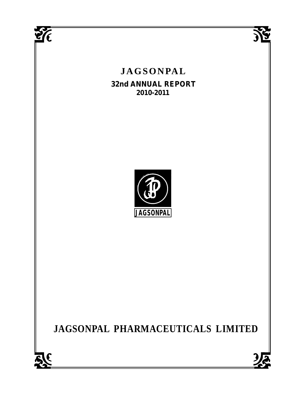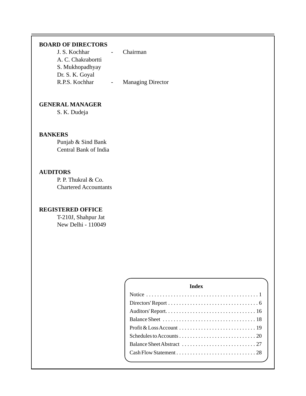#### **BOARD OF DIRECTORS**

| J. S. Kochhar      | Chairman                 |  |
|--------------------|--------------------------|--|
| A. C. Chakrabortti |                          |  |
| S. Mukhopadhyay    |                          |  |
| Dr. S. K. Goyal    |                          |  |
| R.P.S. Kochhar     | <b>Managing Director</b> |  |

#### **GENERAL MANAGER**

S. K. Dudeja

#### **BANKERS**

Punjab & Sind Bank Central Bank of India

#### **AUDITORS**

P. P. Thukral & Co. Chartered Accountants

#### **REGISTERED OFFICE**

T-210J, Shahpur Jat New Delhi - 110049

| <b>Index</b> |  |
|--------------|--|
|              |  |
|              |  |
|              |  |
|              |  |
|              |  |
|              |  |
|              |  |
|              |  |
|              |  |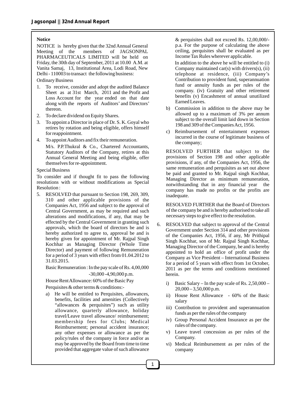#### **Notice**

NOTICE is hereby given that the 32nd Annual General<br>Meeting of the members of JAGSONPAL Meeting of the members PHARMACEUTICALS LIMITED will be held on Friday, the 30th day of September, 2011 at 10.00 A.M. at Vanita Samaj, 13, Institutional Area, Lodi Road, New Delhi - 110003 to transact the following business:

Ordinary Business

- 1. To receive, consider and adopt the audited Balance Sheet as at 31st March, 2011 and the Profit and Loss Account for the year ended on that date along with the reports of Auditors' and Directors' thereon.
- 2. To declare dividend on Equity Shares.
- 3. To appoint a Director in place of Dr. S. K. Goyal who retires by rotation and being eligible, offers himself for reappointment.
- 4. To appoint Auditors and fix their remuneration.

M/s. P.P.Thukral & Co., Chartered Accountants, Statutory Auditors of the Company, retires at this Annual General Meeting and being eligible, offer themselves for re-appointment.

#### Special Business

To consider and if thought fit to pass the following resolutions with or without modifications as Special Resolution :

5. RESOLVED that pursuant to Section 198, 269, 309, 310 and other applicable provisions of the Companies Act, 1956 and subject to the approval of Central Government, as may be required and such alterations and modifications, if any, that may be effected by the Central Government in granting such approvals, which the board of directors be and is hereby authorized to agree to, approval be and is hereby given for appointment of Mr. Rajpal Singh Kochhar as Managing Director (Whole Time Director) and payment of following Remuneration for a period of 3 years with effect from 01.04.2012 to 31.03.2015.

Basic Remuneration : In the pay scale of Rs. 4,00,000 -30,000 -4,90,000 p.m.

House Rent Allowance: 60% of the Basic Pay

Perquisites & other terms & conditions:-

a) He will be entitled to Perquisites, allowances, benefits, facilities and amenities (Collectively "allowances & perquisites") such as utility allowance, quarterly allowance, holiday travel/Leave travel allowance/ reimbursement; membership fees for Clubs; Medical Reimbursement; personal accident insurance; any other expenses or allowance as per the policy/rules of the company in force and/or as may be approved by the Board from time to time provided that aggregate value of such allowance

& perquisites shall not exceed Rs. 12,00,000/ p.a. For the purpose of calculating the above ceiling, perquisites shall be evaluated as per Income Tax Rules wherever applicable.

In addition to the above he will be entitled to (i) Company maintained  $car(s)$  with drivers $(s)$ , (ii) telephone at residence, (iii) Company's Contribution to provident fund, superannuation fund or annuity funds as per rules of the company. (iv) Gratuity and other retirement benefits (v) Encashment of annual unutilized Earned Leaves.

- b) Commission in addition to the above may be allowed up to a maximum of 3% per annum subject to the overall limit laid down in Section 198 and 309 of the Companies Act, 1956.
- c) Reimbursement of entertainment expenses incurred in the course of legitimate business of the company;

RESOLVED FURTHER that subject to the provisions of Section 198 and other applicable provisions, if any, of the Companies Act, 1956, the same remuneration and perquisites as set out above be paid and granted to Mr. Rajpal singh Kochhar, Managing Director as minimum remuneration, notwithstanding that in any financial year the company has made no profits or the profits are inadequate.

RESOLVED FURTHER that the Board of Directors of the company be and is hereby authorised to take all necessary steps to give effect to the resolution.

- 6. RESOLVED that subject to approval of the Central Government under Section 314 and other provisions of the Companies Act, 1956, if any, Mr Prithipal Singh Kochhar, son of Mr. Rajpal Singh Kochhar, Managing Director of the Company, be and is hereby appointed to hold an office of profit under the Company as Vice President – International Business for a period of 5 years with effect from 1st October, 2011 as per the terms and conditions mentioned herein.
	- i) Basic Salary In the pay scale of Rs. 2,50,000  $20,000 - 3,50,000$  p.m.
	- ii) House Rent Allowance 60% of the Basic salary
	- iii) Contribution to provident and superannuation funds as per the rules of the company
	- iv) Group Personal Accident Insurance as per the rules of the company.
	- v) Leave travel concession as per rules of the Company.
	- vi) Medical Reimbursement as per rules of the company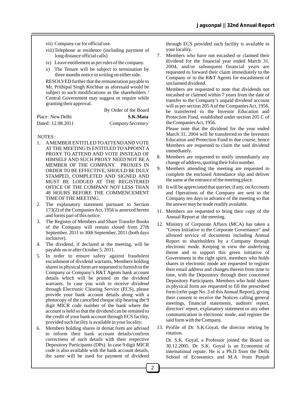- vii) Company car for official use.
- viii)Telephone at residence (including payment of long distance official calls)
- ix) Leave entitlement as per rules of the company.
- x) The Tenure will be subject to termination by three months notice in writing on either side.

RESOLVED further that the remuneration payable to Mr. Prithipal Singh Kochhar as aforesaid would be subject to such modifications as the shareholders / Central Government may suggest or require while granting their approval.

|                   | By Order of the Board |
|-------------------|-----------------------|
| Place : New Delhi | S.K.Mata              |
| Dated: 12.08.2011 | Company Secretary     |

#### NOTES :

- 1. AMEMBER ENTITLED TO ATTEND AND VOTE ATTHE MEETING IS ENTITLED TO APPOINTA PROXY TO ATTEND AND VOTE INSTEAD OF HIMSELF AND SUCH PROXY NEED NOT BE A MEMBER OF THE COMPANY. PROXIES IN ORDER TO BE EFFECTIVE, SHOULD BE DULY STAMPED, COMPLETED AND SIGNED AND MUST BE LODGED AT THE REGISTERED OFFICE OF THE COMPANY NOT LESS THAN 48 HOURS BEFORE THE COMMENCEMENT TIME OF THE MEETING.
- 2. The explanatory statement pursuant to Section 173(2) of the Companies Act, 1956 is annexed hereto and forms part of this notice.
- 3. The Register of Members and Share Transfer Books of the Company will remain closed from 27th September, 2011 to 30th September, 2011 (both days inclusive).
- 4. The dividend, if declared at the meeting, will be payable on or after October 5, 2011.
- 5. In order to ensure safety against fraudulent encashment of dividend warrants, Members holding shares in physical form are requested to furnish to the Company or Company's R&T Agents bank account details which will be printed on the dividend warrants. In case you wish to receive dividend through Electronic Clearing Service (ECS), please provide your bank account details along with a photocopy of the cancelled cheque slip bearing the 9 digit MICR code number of the bank where the account is held so that the dividend can be remitted to the credit of your bank account through ECS facility, provided such facility is available in your locality.
- 6. Members holding shares in demat form are advised to inform their bank account details/confirm correctness of such details with their respective Depository Participants (DPs). In case 9 digit MICR code is also available with the bank account details, the same will be used for payment of dividend

through ECS provided such facility is available in your locality.

7. Members who have not encashed or claimed their dividend for the financial year ended March 31, 2004, and/or subsequent financial years are requested to forward their claim immediately to the Company or to the R&T Agents for encashment of unclaimed dividend.

 Members are requested to note that dividends not encashed or claimed within 7 years from the date of transfer to the Company's unpaid dividend account will as per section 205 Aof the Companies Act, 1956, be transferred to the Investor Education and Protection Fund, established under section 205 C of the Companies Act, 1956.

Please note that the dividend for the year ended March 31, 2004 will be transferred to the Investors Education and Protection Fund in due course, hence Members are requested to claim the said dividend immediately.

- 8. Members are requested to notify immediately any change of address, quoting their folio number.
- 9. Members attending the meeting are requested to complete the enclosed Attendance slip and deliver the same at the entrance of the meeting place.
- 10. It will be appreciated that queries, if any, on Accounts and Operations of the Company are sent to the Company ten days in advance of the meeting so that the answer may be made readily available.
- 11. Members are requested to bring their copy of the Annual Report at the meeting.
- 12. Ministry of Corporate Affairs (MCA) has taken a "Green Initiative in the Corporate Governance" and allowed service of documents including Annual Report to shareholders by a Company through electronic mode. Keeping in view the underlying theme and to support this green initiative of Government in the right spirit, members who holds shares in electronic mode are requested to register their email address and changes therein from time to time, with the Depository through their concerned Depository Participants. Members who hold shares in physical form are requested to fill the prescribed form (refer page No. 3 of this Annual Report), giving their consent to receive the Notices calling general meetings, financial statements, auditors' report, directors' report, explanatory statement or any other communication in electronic mode, and register the said form with the Company.
- 13. Profile of Dr. S.K.Goyal, the director retiring by rotation.

Dr. S.K. Goyal, a Professor joined the Board on 30.12.2005. Dr. S.K. Goyal is an Economist of international repute. He is a Ph.D from the Delhi School of Economics and M.A. from Punjab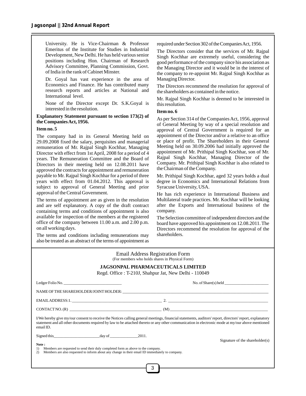University. He is Vice-Chairman & Professor Emeritus of the Institute for Studies in Industrial Development, New Delhi. He has held various senior positions including Hon. Chairman of Research Advisory Committee, Planning Commission, Govt. of India in the rank of Cabinet Minster.

Dr. Goyal has vast experience in the area of Economics and Finance. He has contributed many research reports and articles at National and International level.

None of the Director except Dr. S.K.Goyal is interested in the resolution.

#### **Explanatory Statement pursuant to section 173(2) of the Companies Act, 1956.**

#### **Item no. 5**

The company had in its General Meeting held on 29.09.2008 fixed the salary, perquisites and managerial remuneration of Mr. Rajpal Singh Kochhar, Managing Director with effect from 1st April, 2008 for a period of 4 years. The Remuneration Committee and the Board of Directors in their meeting held on 12.08.2011 have approved the contracts for appointment and remuneration payable to Mr. Rajpal Singh Kochhar for a period of three years with effect from 01.04.2012. This approval is subject to approval of General Meeting and prior approval of the Central Government.

The terms of appointment are as given in the resolution and are self explanatory. A copy of the draft contract containing terms and conditions of appointment is also available for inspection of the members at the registered office of the company between 11.00 a.m. and 2.00 p.m. on all working days.

The terms and conditions including remunerations may also be treated as an abstract of the terms of appointment as

required under Section 302 of the Companies Act, 1956.

The Directors consider that the services of Mr. Rajpal Singh Kochhar are extremely useful, considering the good performance of the company since his association as the Managing Director and it would be in the interest of the company to re-appoint Mr. Rajpal Singh Kochhar as Managing Director.

The Directors recommend the resolution for approval of the shareholders as contained in the notice.

Mr. Rajpal Singh Kochhar is deemed to be interested in this resolution.

#### **Item no. 6**

As per Section 314 of the Companies Act, 1956, approval of General Meeting by way of a special resolution and approval of Central Government is required for an appointment of the Director and/or a relative to an office or place of profit. The Shareholders in their General Meeting held on 30.09.2006 had initially approved the appointment of Mr. Prithipal Singh Kochhar, son of Mr. Rajpal Singh Kochhar, Managing Director of the Company. Mr. Prithipal Singh Kochhar is also related to the Chairman of the Company.

Mr. Prithipal Singh Kochhar, aged 32 years holds a dual degree in Economics and International Relations from Syracuse University, USA.

He has rich experience in International Business and Multilateral trade practices. Mr. Kochhar will be looking after the Exports and International business of the company.

The Selection committee of independent directors and the board have approved his appointment on 12.08.2011. The Directors recommend the resolution for approval of the shareholders.

| <b>Email Address Registration Form</b><br>(For members who holds shares in Physical Form)                                                                                                                          |  |  |                                                                                                                                                                                                                                                                                                             |  |  |
|--------------------------------------------------------------------------------------------------------------------------------------------------------------------------------------------------------------------|--|--|-------------------------------------------------------------------------------------------------------------------------------------------------------------------------------------------------------------------------------------------------------------------------------------------------------------|--|--|
|                                                                                                                                                                                                                    |  |  | <b>JAGSONPAL PHARMACEUTICALS LIMITED</b>                                                                                                                                                                                                                                                                    |  |  |
|                                                                                                                                                                                                                    |  |  | Regd. Office: T-210J, Shahpur Jat, New Delhi - 110049                                                                                                                                                                                                                                                       |  |  |
| Ledger Folio No.                                                                                                                                                                                                   |  |  | $\text{No. of } \text{Share}(s) \text{ held }$                                                                                                                                                                                                                                                              |  |  |
|                                                                                                                                                                                                                    |  |  |                                                                                                                                                                                                                                                                                                             |  |  |
|                                                                                                                                                                                                                    |  |  | EMAILADDRESS: 1.                                                                                                                                                                                                                                                                                            |  |  |
|                                                                                                                                                                                                                    |  |  |                                                                                                                                                                                                                                                                                                             |  |  |
| email ID.                                                                                                                                                                                                          |  |  | I/We hereby give my/our consent to receive the Notices calling general meetings, financial statements, auditors' report, directors' report, explanatory<br>statement and all other documents required by law to be attached thereto or any other communication in electronic mode at my/our above mentioned |  |  |
|                                                                                                                                                                                                                    |  |  | Signature of the shareholder $(s)$                                                                                                                                                                                                                                                                          |  |  |
| Note:<br>Members are requested to send their duly completed form as above to the company.<br>1)<br>Members are also requested to inform about any change in their email ID immediately to company.<br>$\mathbf{2}$ |  |  |                                                                                                                                                                                                                                                                                                             |  |  |
|                                                                                                                                                                                                                    |  |  |                                                                                                                                                                                                                                                                                                             |  |  |

3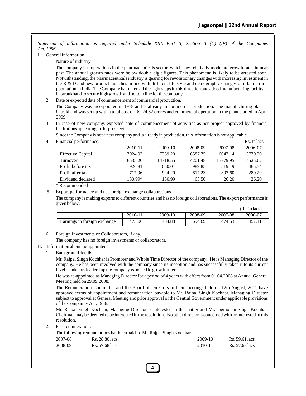*Statement of information as required under Schedule XIII, Part II, Section II (C) (IV) of the Companies Act, 1956*

- I. General Information
	- 1. Nature of industry

The company has operations in the pharmaceuticals sector, which saw relatively moderate growth rates in near past. The annual growth rates were below double digit figures. This phenomena is likely to be arrested soon. Notwithstanding, the pharmaceuticals industry is gearing for revolutionary changes with increasing investment in the R & D and new product launches in line with different life style and demographic changes of urban – rural population in India. The Company has taken all the right steps in this direction and added manufacturing facility at Uttarankhand to secure high growth and bottom line for the company.

2. Date or expected date of commencement of commercial production.

The Company was incorporated in 1978 and is already in commercial production. The manufacturing plant at Uttrakhand was set up with a total cost of Rs. 24.62 crores and commercial operation in the plant started in April 2009.

3. In case of new company, expected date of commencement of activities as per project approved by financial institutions appearing in the prospectus.

Since the Company is not a new company and is already in production, this information is not applicable.

4. Financial performance:  $\blacksquare$ 

| manciai defiormance.     |          |          |          |          | 185. 111 1465 |
|--------------------------|----------|----------|----------|----------|---------------|
|                          | 2010-11  | 2009-10  | 2008-09  | 2007-08  | 2006-07       |
| <b>Effective Capital</b> | 7924.93  | 7359.20  | 6587.75  | 6047.14  | 5770.20       |
| Turnover                 | 16535.26 | 14318.55 | 14201.48 | 15779.95 | 14525.62      |
| Profit before tax        | 926.81   | 1050.01  | 989.85   | 519.19   | 465.54        |
| Profit after tax         | 717.96   | 924.20   | 617.23   | 307.60   | 280.29        |
| Dividend declared        | 130.99*  | 130.99   | 65.50    | 26.20    | 26.20         |

\* Recommended

5. Export performance and net foreign exchange collaborations

The company is making exports to different countries and has no foreign collaborations. The export performance is given below:

|                              |         |         |         |         | (Rs. in lacs) |
|------------------------------|---------|---------|---------|---------|---------------|
|                              | 2010-11 | 2009-10 | 2008-09 | 2007-08 | 2006-07       |
| Earnings in foreign exchange | 473.06  | 484.88  | 694.69  | 474.53  | 457.41        |

6. Foreign Investments or Collaborators, if any.

The company has no foreign investments or collaborators.

- II. Information about the appointee:
	- 1. Background details

Mr. Rajpal Singh Kochhar is Promoter and Whole Time Director of the company. He is Managing Director of the company. He has been involved with the company since its inception and has successfully taken it to its current level. Under his leadership the company is poised to grow further.

He was re-appointed as Managing Director for a period of 4 years with effect from 01.04.2008 at Annual General Meeting held on 29.09.2008.

The Remuneration Committee and the Board of Directors in their meetings held on 12th August, 2011 have approved terms of appointment and remuneration payable to Mr. Rajpal Singh Kochhar, Managing Director subject to approval at General Meeting and prior approval of the Central Government under applicable provisions of the Companies Act, 1956.

Mr. Rajpal Singh Kochhar, Managing Director is interested in the matter and Mr. Jagmohan Singh Kochhar, Chairman may be deemed to be interested in the resolution. No other director is concerned with or interested in this resolution.

2. Past remuneration:

The following remunerations has been paid to Mr. Rajpal Singh Kochhar

| 2007-08 | Rs. 28.80 lacs | 2009-10 | Rs. 59.61 lacs |
|---------|----------------|---------|----------------|
| 2008-09 | Rs. 57.68 lacs | 2010-11 | Rs. 57.68 lacs |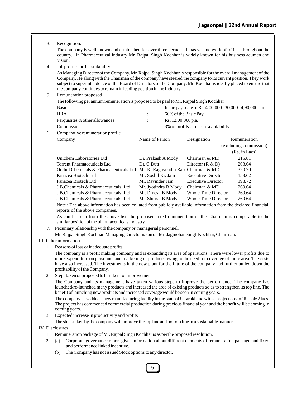3. Recognition:

The company is well known and established for over three decades. It has vast network of offices throughout the country. In Pharmaceutical industry Mr. Rajpal Singh Kochhar is widely known for his business acumen and vision.

4. Job profile and his suitability

As Managing Director of the Company, Mr. Rajpal Singh Kochhar is responsible for the overall management of the Company. He along with the Chairman of the company have steered the company to its current position. They work subject to superintendence of the Board of Directors of the Company. Mr. Kochhar is ideally placed to ensure that the company continues to remain in leading position in the Industry.

5. Remuneration proposed

|    | <b>Refinanciation</b> proposed                                                          |                                                             |  |                                       |                        |
|----|-----------------------------------------------------------------------------------------|-------------------------------------------------------------|--|---------------------------------------|------------------------|
|    | The following per annum remuneration is proposed to be paid to Mr. Rajpal Singh Kochhar |                                                             |  |                                       |                        |
|    | <b>Basic</b>                                                                            | In the pay scale of Rs. $4,00,000 - 30,000 - 4,90,000$ p.m. |  |                                       |                        |
|    | <b>HRA</b>                                                                              |                                                             |  |                                       |                        |
|    | Perquisites $&$ other allowances                                                        |                                                             |  |                                       |                        |
|    | Commission                                                                              |                                                             |  | 3% of profits subject to availability |                        |
| б. | Comparative remuneration profile                                                        |                                                             |  |                                       |                        |
|    | Company                                                                                 | Name of Person                                              |  | Designation                           | Remuneration           |
|    |                                                                                         |                                                             |  |                                       | (excluding commission) |
|    |                                                                                         |                                                             |  |                                       | (Rs. in Lacs)          |
|    | Unichem Laboratories Ltd                                                                | Dr. Prakash A Mody                                          |  | Chairman & MD                         | 215.81                 |
|    | <b>Torrent Pharmaceuticals Ltd</b>                                                      | Dr. C.Dutt                                                  |  | Director $(R & D)$                    | 203.64                 |
|    |                                                                                         |                                                             |  |                                       |                        |

| Tonone I mannacoucleave Dec                                                |                      | $L$ $\sim$ $L$ $\sim$ $L$ $\sim$ $L$ $\sim$ $L$ $\sim$ $L$ $\sim$ $L$ $\sim$ $L$ $\sim$ $L$ $\sim$ $L$ $\sim$ $L$ $\sim$ $L$ $\sim$ $L$ $\sim$ $L$ $\sim$ $L$ $\sim$ $L$ $\sim$ $L$ $\sim$ $L$ $\sim$ $L$ $\sim$ $L$ $\sim$ $L$ $\sim$ $L$ $\sim$ $L$ $\sim$ $L$ $\sim$ $L$ | -----  |
|----------------------------------------------------------------------------|----------------------|-----------------------------------------------------------------------------------------------------------------------------------------------------------------------------------------------------------------------------------------------------------------------------|--------|
| Orchid Chemicals & Pharmaceuticals Ltd Mr. K. Raghvendra Rao Chairman & MD |                      |                                                                                                                                                                                                                                                                             | 320.20 |
| Panacea Biotech Ltd                                                        | Mr. Soshil Kr. Jain  | <b>Executive Director</b>                                                                                                                                                                                                                                                   | 153.62 |
| Panacea Biotech Ltd                                                        | Mr. Ravinder Jain    | <b>Executive Director</b>                                                                                                                                                                                                                                                   | 198.72 |
| J.B.Chemicals & Pharmaceuticals Ltd                                        | Mr. Jyotindra B Mody | Chairman & MD                                                                                                                                                                                                                                                               | 269.64 |
| J.B.Chemicals & Pharmaceuticals Ltd                                        | Mr. Dinesh B Mody    | Whole Time Director                                                                                                                                                                                                                                                         | 269.64 |
| J.B.Chemicals & Pharmaceuticals Ltd                                        | Mr. Shirish B Mody   | Whole Time Director                                                                                                                                                                                                                                                         | 269.64 |

Note : The above information has been collated from publicly available information from the declared financial reports of the above companies.

As can be seen from the above list, the proposed fixed remuneration of the Chairman is comparable to the similar position of the pharmaceuticals industry.

7. Pecuniary relationship with the company or managerial personnel.

Mr. Rajpal Singh Kochhar, Managing Director is son of Mr. Jagmohan Singh Kochhar, Chairman.

#### III. Other information

1. Reasons of loss or inadequate profits

The company is a profit making company and is expanding its area of operations. There were lower profits due to more expenditure on personnel and marketing of products owing to the need for coverage of more area. The costs have also increased. The investments in the new plant for the future of the company had further pulled down the profitability of the Company.

2. Steps taken or proposed to be taken for improvement

The Company and its management have taken various steps to improve the performance. The company has launched/re-launched many products and increased the area of existing products so as to strengthen its top line. The benefit of launching new products and increased coverage would be seen in coming years.

The company has added a new manufacturing facility in the state of Uttarakhand with a project cost of Rs. 2462 lacs. The project has commenced commercial production during precious financial year and the benefit will be coming in coming years.

3. Expected increase in productivity and profits

The steps taken by the company will improve the top line and bottom line in a sustainable manner.

#### IV. Disclosures

- 1. Remuneration package of Mr. Rajpal Singh Kochhar is as per the proposed resolution.
- 2. (a) Corporate governance report gives information about different elements of remuneration package and fixed and performance linked incentive.

5

(b) The Company has not issued Stock options to any director.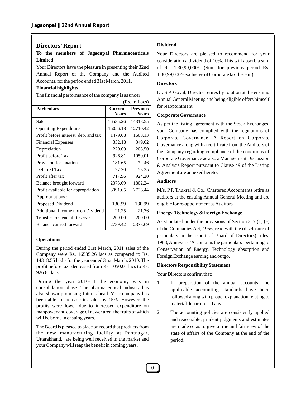#### **Directors' Report**

#### **To the members of Jagsonpal Pharmaceuticals Limited**

Your Directors have the pleasure in presenting their 32nd Annual Report of the Company and the Audited Accounts, for the period ended 31st March, 2011.

#### **Financial highlights**

The financial performance of the company is as under:

|                                      |                         | (Rs. in Lacs)                   |
|--------------------------------------|-------------------------|---------------------------------|
| <b>Particulars</b>                   | Current<br><b>Years</b> | <b>Previous</b><br><b>Years</b> |
| <b>Sales</b>                         | 16535.26                | 14318.55                        |
| <b>Operating Expenditure</b>         | 15056.18                | 12710.42                        |
| Profit before interest, dep. and tax | 1479.08                 | 1608.13                         |
| <b>Financial Expenses</b>            | 332.18                  | 349.62                          |
| Depreciation                         | 220.09                  | 208.50                          |
| Profit before Tax                    | 926.81                  | 1050.01                         |
| Provision for taxation               | 181.65                  | 72.46                           |
| Deferred Tax                         | 27.20                   | 53.35                           |
| Profit after tax                     | 717.96                  | 924.20                          |
| Balance brought forward              | 2373.69                 | 1802.24                         |
| Profit available for appropriation   | 3091.65                 | 2726.44                         |
| Appropriations:                      |                         |                                 |
| Proposed Dividend                    | 130.99                  | 130.99                          |
| Additional Income tax on Dividend    | 21.25                   | 21.76                           |
| <b>Transfer to General Reserve</b>   | 200.00                  | 200.00                          |
| Balance carried forward              | 2739.42                 | 2373.69                         |
|                                      |                         |                                 |

#### **Operations**

During the period ended 31st March, 2011 sales of the Company were Rs. 16535.26 lacs as compared to Rs. 14318.55 lakhs for the year ended 31st March, 2010. The profit before tax decreased from Rs. 1050.01 lacs to Rs. 926.81 lacs.

During the year 2010-11 the economy was in consolidation phase. The pharmaceutical industry has also shown promising future ahead. Your company has been able to increase its sales by 15%. However, the profits were lower due to increased expenditure on manpower and coverage of newer area, the fruits of which will be borne in ensuing years.

The Board is pleased to place on record that products from the new manufacturing facility at Pantnagar, Uttarakhand, are being well received in the market and your Company will reap the benefit in coming years.

#### **Dividend**

Your Directors are pleased to recommend for your consideration a dividend of 10%. This will absorb a sum of Rs. 1,30,99,000/- (Sum for previous period Rs. 1,30,99,000/- exclusive of Corporate tax thereon).

#### **Directors**

Dr. S K Goyal, Director retires by rotation at the ensuing Annual General Meeting and being eligible offers himself for reappointment.

#### **Corporate Governance**

As per the listing agreement with the Stock Exchanges, your Company has complied with the regulations of Corporate Governance. A Report on Corporate Governance along with a certificate from the Auditors of the Company regarding compliance of the conditions of Corporate Governance as also a Management Discussion & Analysis Report pursuant to Clause 49 of the Listing Agreement are annexed hereto.

#### **Auditors**

M/s. P.P. Thukral & Co., Chartered Accountants retire as auditors at the ensuing Annual General Meeting and are eligible for re-appointment as Auditors.

#### **Energy, Technology & Foreign Exchange**

As stipulated under the provisions of Section 217 (1) (e) of the Companies Act, 1956, read with the (disclosure of particulars in the report of Board of Directors) rules, 1988, Annexure 'A'contains the particulars pertaining to Conservation of Energy, Technology absorption and Foreign Exchange earning and outgo.

#### **Directors Responsibility Statement**

Your Directors confirm that:

- 1. In preparation of the annual accounts, the applicable accounting standards have been followed along with proper explanation relating to material departures, if any;
- 2. The accounting policies are consistently applied and reasonable, prudent judgments and estimates are made so as to give a true and fair view of the state of affairs of the Company at the end of the period.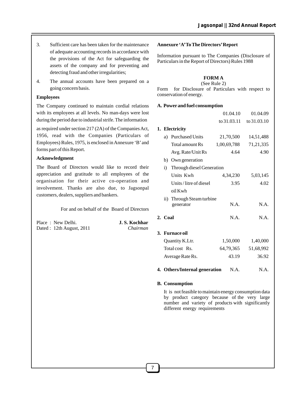- 3. Sufficient care has been taken for the maintenance of adequate accounting records in accordance with the provisions of the Act for safeguarding the assets of the company and for preventing and detecting fraud and other irregularities;
- 4. The annual accounts have been prepared on a going concern basis.

#### **Employees**

The Company continued to maintain cordial relations with its employees at all levels. No man-days were lost during the period due to industrial strife. The information

as required under section 217 (2A) of the Companies Act, 1956, read with the Companies (Particulars of Employees) Rules, 1975, is enclosed in Annexure 'B'and forms part of this Report.

#### **Acknowledgment**

The Board of Directors would like to record their appreciation and gratitude to all employees of the organisation for their active co-operation and involvement. Thanks are also due, to Jagsonpal customers, dealers, suppliers and bankers.

For and on behalf of the Board of Directors

| Place: New Delhi.        | J. S. Kochhar |
|--------------------------|---------------|
| Dated: 12th August, 2011 | Chairman      |

#### **Annexure 'A'To The Directors'Report**

Information pursuant to The Companies (Disclosure of Particulars in the Report of Directors) Rules 1988

#### **FORM A**

(See Rule 2) Form for Disclosure of Particulars with respect to conservation of energy.

#### **A. Power and fuel consumption**

|         |                                        | 01.04.10    | 01.04.09    |
|---------|----------------------------------------|-------------|-------------|
|         |                                        | to 31.03.11 | to 31.03.10 |
|         | 1. Electricity                         |             |             |
| a)      | <b>Purchased Units</b>                 | 21,70,500   | 14,51,488   |
|         | Total amount Rs                        | 1,00,69,788 | 71,21,335   |
|         | Avg. Rate/Unit Rs                      | 4.64        | 4.90        |
|         | b) Own generation                      |             |             |
| i)      | Through diesel Generation              |             |             |
|         | Units Kwh                              | 4,34,230    | 5,03,145    |
|         | Units/litre of diesel                  | 3.95        | 4.02        |
|         | $oil$ Kwh                              |             |             |
|         | ii) Through Steam turbine<br>generator | N.A.        | N.A.        |
| 2. Coal |                                        | N.A.        | N.A.        |
|         | 3.   Furnace oil                       |             |             |
|         | Quantity K.Ltr.                        | 1,50,000    | 1,40,000    |
|         | Total cost Rs.                         | 64,79,365   | 51,68,992   |
|         | Average Rate Rs.                       | 43.19       | 36.92       |
|         |                                        |             |             |

**4. Others/Internal generation** N.A. N.A.

#### **B. Consumption**

It is not feasible to maintain energy consumption data by product category because of the very large number and variety of products with significantly different energy requirements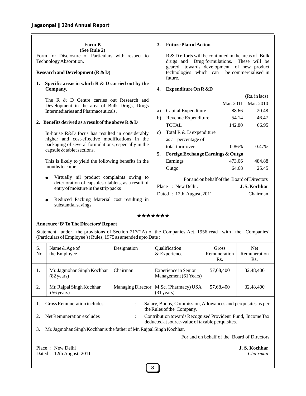#### **Form B**

**(See Rule 2)** 

Form for Disclosure of Particulars with respect to Technology Absorption.

#### **Research and Development (R & D)**

#### **1. Specific areas in which R & D carried out by the Company.**

The R & D Centre carries out Research and Development in the area of Bulk Drugs, Drugs Intermediaries and Pharmaceuticals.

#### **2. Benefits derived as a result of the above R & D**

In-house R&D focus has resulted in considerably higher and cost-effective modifications in the packaging of several formulations, especially in the capsule & tablet sections.

This is likely to yield the following benefits in the months to come:

- Virtually nil product complaints owing to deterioration of capsules / tablets, as a result of entry of moisture in the strip packs
- Reduced Packing Material cost resulting in substantial savings

#### **3. Future Plan of Action**

R & D efforts will be continued in the areas of Bulk drugs and Drug formulations. These will be geared towards development of new product technologies which can be commercialised in future.

#### **4. Expenditure On R &D**

|    |                                   |           | (Rs. in lacs) |
|----|-----------------------------------|-----------|---------------|
|    |                                   | Mar. 2011 | Mar. 2010     |
| a) | Capital Expenditure               | 88.66     | 20.48         |
| b) | Revenue Expenditure               | 54.14     | 46.47         |
|    | <b>TOTAL</b>                      | 142.80    | 66.95         |
| c) | Total R & D expenditure           |           |               |
|    | as a percentage of                |           |               |
|    | total turn-over.                  | 0.86%     | 0.47%         |
| 5. | Foreign Exchange Earnings & Outgo |           |               |
|    | Earnings                          | 473.06    | 484.88        |
|    | Outgo                             | 64.68     | 25.45         |
|    |                                   |           |               |

For and on behalf of the Board of Directors Place : New Delhi. **J.S. Kochhar** Dated : 12th August, 2011 Chairman

#### \*\*\*\*\*\*\*

#### **Annexure 'B'To The Directors'Report**

Statement under the provisions of Section 217(2A) of the Companies Act, 1956 read with the Companies' (Particulars of Employee's) Rules, 1975 as amended upto Date :

| S.<br>No.                                                                                                                                                           | Name & Age of<br>the Employee                                         | Designation              | Qualification<br>& Experience                 | Gross<br>Remuneration<br>Rs.                | <b>Net</b><br>Remuneration<br>Rs. |
|---------------------------------------------------------------------------------------------------------------------------------------------------------------------|-----------------------------------------------------------------------|--------------------------|-----------------------------------------------|---------------------------------------------|-----------------------------------|
| 1.                                                                                                                                                                  | Mr. Jagmohan Singh Kochhar<br>$(82 \text{ years})$                    | Chairman                 | Experience in Senior<br>Management (61 Years) | 57,68,400                                   | 32,48,400                         |
| 2.                                                                                                                                                                  | Mr. Rajpal Singh Kochhar<br>$(56 \text{ years})$                      | <b>Managing Director</b> | M.Sc. (Pharmacy) USA<br>$(31 \text{ years})$  | 57,68,400                                   | 32,48,400                         |
| Gross Remuneration includes<br>Salary, Bonus, Commission, Allowances and perquisites as per<br>the Rules of the Company.                                            |                                                                       |                          |                                               |                                             |                                   |
| Net Remuneration excludes<br>Contribution towards Recognised Provident Fund, Income Tax<br>2.<br>$\ddot{\cdot}$<br>deducted at source-value of taxable perquisites. |                                                                       |                          |                                               |                                             |                                   |
| 3.                                                                                                                                                                  | Mr. Jagmohan Singh Kochhar is the father of Mr. Rajpal Singh Kochhar. |                          |                                               |                                             |                                   |
|                                                                                                                                                                     |                                                                       |                          |                                               | For and on behalf of the Board of Directors |                                   |
|                                                                                                                                                                     | Place: New Delhi<br>Dated: 12th August, 2011                          |                          |                                               |                                             | J. S. Kochhar<br>Chairman         |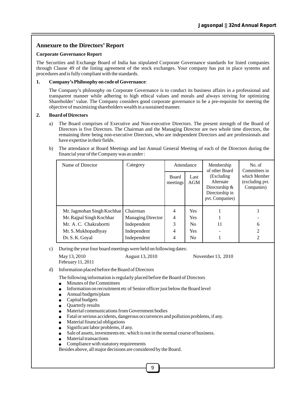#### **Annexure to the Directors' Report**

#### **Corporate Governance Report**

The Securities and Exchange Board of India has stipulated Corporate Governance standards for listed companies through Clause 49 of the listing agreement of the stock exchanges. Your company has put in place systems and procedures and is fully compliant with the standards.

#### **1. Company's Philosophy on code of Governance**:

The Company's philosophy on Corporate Governance is to conduct its business affairs in a professional and transparent manner while adhering to high ethical values and morals and always striving for optimizing Shareholder' value. The Company considers good corporate governance to be a pre-requisite for meeting the objective of maximizing shareholders wealth in a sustained manner.

#### **2. Board of Directors**

- a) The Board comprises of Executive and Non-executive Directors. The present strength of the Board of Directors is five Directors. The Chairman and the Managing Director are two whole time directors, the remaining three being non-executive Directors, who are independent Directors and are professionals and have expertise in their fields.
- b) The attendance at Board Meetings and last Annual General Meeting of each of the Directors during the financial year of the Company was as under :

| Name of Director           | Category                 | Attendance               |             | Membership<br>of other Board                                                       | No. of<br>Committees in                       |
|----------------------------|--------------------------|--------------------------|-------------|------------------------------------------------------------------------------------|-----------------------------------------------|
|                            |                          | <b>Board</b><br>meetings | Last<br>AGM | (Excluding)<br>Alternate<br>Directorship $&$<br>Directorship in<br>pvt. Companies) | which Member<br>(excluding pvt.<br>Companies) |
| Mr. Jagmohan Singh Kochhar | Chairman                 | 4                        | <b>Yes</b>  |                                                                                    |                                               |
| Mr. Rajpal Singh Kochhar   | <b>Managing Director</b> | 4                        | Yes         |                                                                                    |                                               |
| Mr. A.C. Chakrabortti      | Independent              | 3                        | No          | 11                                                                                 | 6                                             |
| Mr. S. Mukhopadhyay        | Independent              | 4                        | <b>Yes</b>  |                                                                                    | 2                                             |
| Dr. S. K. Goval            | Independent              | 4                        | No          |                                                                                    | $\mathfrak{D}$                                |

c) During the year four board meetings were held on following dates:

May 13, 2010 August 13, 2010 November 13, 2010 February 11, 2011

d) Information placed before the Board of Directors

The following information is regularly placed before the Board of Directors  $\bullet$  Minutes of the Committees

- Minutes of the Committees<br>• Information on recruitment
- Information on recruitment etc of Senior officer just below the Board level<br>• Annual budgets/plans
- Annual budgets/plans<br>Capital budgets
- 
- Quarterly results
- Material communications from Government bodies • Material communications from Government bodies<br>• Fatal or serious accidents, dangerous occurrences are
- Fatal or serious accidents, dangerous occurrences and pollution problems, if any.<br>● Material financial obligations
- 
- ●Material financial obligations Significant labor problems, if any.
- Sale of assets, investments etc. which is not in the normal course of business.
- Sai<br>● Ma<br>● Co Material transactions
- Compliance with statutory requirements

Besides above, all major decisions are considered by the Board.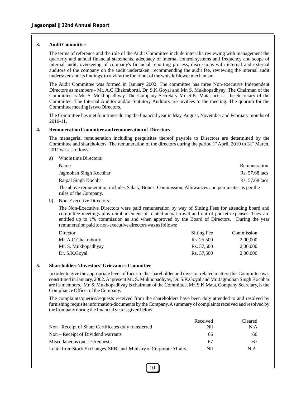#### **3. Audit Committee**

The terms of reference and the role of the Audit Committee include inter-alia reviewing with management the quarterly and annual financial statements, adequacy of internal control systems and frequency and scope of internal audit, overseeing of company's financial reporting process, discussions with internal and external auditors of the company on the audit undertaken, recommending the audit fee, reviewing the internal audit undertaken and its findings, to review the functions of the whistle blower mechanism .

The Audit Committee was formed in January 2002. The committee has three Non-executive Independent Directors as members - Mr. A.C.Chakrabortti, Dr. S.K.Goyal and Mr. S. Mukhopadhyay. The Chairman of the Committee is Mr. S. Mukhopadhyay. The Company Secretary Mr. S.K. Mata, acts as the Secretary of the Committee. The Internal Auditor and/or Statutory Auditors are invitees to the meeting. The quorum for the Committee meeting is two Directors.

The Committee has met four times during the financial year in May, August, November and February months of 2010-11.

#### **4. Remuneration Committee and remuneration of Directors**

The managerial remuneration including perquisites thereof payable to Directors are determined by the Committee and shareholders. The remuneration of the directors during the period  $1<sup>st</sup>$  April, 2010 to 31<sup>st</sup> March, 2011 was as follows:

a) Whole time Directors:

| Name                                                                                             | Remuneration   |
|--------------------------------------------------------------------------------------------------|----------------|
| Jagmohan Singh Kochhar                                                                           | Rs. 57.68 lacs |
| Rajpal Singh Kochhar                                                                             | Rs. 57.68 lacs |
| The above remuneration includes Salary, Bonus, Commission, Allowances and perquisites as per the |                |

rules of the Company.

b) Non-Executive Directors:

The Non-Executive Directors were paid remuneration by way of Sitting Fees for attending board and committee meetings plus reimbursement of related actual travel and out of pocket expenses. They are entitled up to 1% commission as and when approved by the Board of Directors. During the year remuneration paid to non-executive directors was as follows:

| Director             | Sitting Fee | Commission |
|----------------------|-------------|------------|
| Mr. A.C.Chakrabortti | Rs. 25.500  | 2,00,000   |
| Mr. S. Mukhopadhyay  | Rs. 37.500  | 2,00,000   |
| Dr. S.K.Goval        | Rs. 37,500  | 2,00,000   |

#### **5. Shareholders'/Investors' Grievances Committee**

In order to give the appropriate level of focus to the shareholder and investor related matters this Committee was constituted in January, 2002. At present Mr. S. Mukhopadhyay, Dr. S.K.Goyal and Mr. Jagmohan Singh Kochhar are its members. Mr. S. Mukhopadhyay is chairman of the Committee. Mr. S.K.Mata, Company Secretary, is the Compliance Officer of the Company.

The complaints/queries/requests received from the shareholders have been duly attended to and resolved by furnishing requisite information/documents by the Company. Asummary of complaints received and resolved by the Company during the financial year is given below:

|                                                                     | Received | Cleared |
|---------------------------------------------------------------------|----------|---------|
| Non –Receipt of Share Certificates duly transferred                 | Nil      | N.A     |
| Non – Receipt of Dividend warrants                                  | 66       | 66      |
| Miscellaneous queries/requests                                      | 67       | 67      |
| Letter from Stock Exchanges, SEBI and Ministry of Corporate Affairs | Nil      | N.A.    |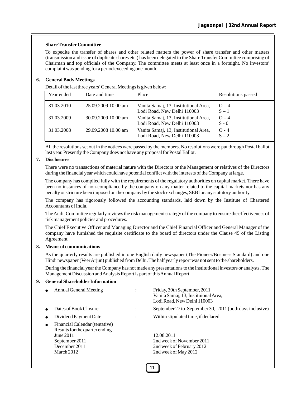#### **Share TransferCommittee**

To expedite the transfer of shares and other related matters the power of share transfer and other matters (transmission and issue of duplicate shares etc.) has been delegated to the Share Transfer Committee comprising of Chairman and top officials of the Company. The committee meets at least once in a fortnight. No investors' complaint was pending for a period exceeding one month.

#### **6. General Body Meetings**

Detail of the last three years'General Meetings is given below:

| Year ended | Date and time       | Place                                                                | Resolutions passed |
|------------|---------------------|----------------------------------------------------------------------|--------------------|
| 31.03.2010 | 25.09.2009 10.00 am | Vanita Samaj, 13, Institutional Area,<br>Lodi Road, New Delhi 110003 | $Q - 4$<br>$S - 1$ |
| 31.03.2009 | 30.09.2009 10.00 am | Vanita Samaj, 13, Institutional Area,<br>Lodi Road, New Delhi 110003 | $Q - 4$<br>$S - 0$ |
| 31.03.2008 | 29.09.2008 10.00 am | Vanita Samaj, 13, Institutional Area,<br>Lodi Road, New Delhi 110003 | $O - 4$<br>$S - 2$ |

All the resolutions set out in the notices were passed by the members. No resolutions were put through Postal ballot last year. Presently the Company does not have any proposal for Postal Ballot.

#### **7. Disclosures**

There were no transactions of material nature with the Directors or the Management or relatives of the Directors during the financial year which could have potential conflict with the interests of the Company at large.

The company has complied fully with the requirements of the regulatory authorities on capital market. There have been no instances of non-compliance by the company on any matter related to the capital markets nor has any penalty or stricture been imposed on the company by the stock exchanges, SEBI or any statutory authority.

The company has rigorously followed the accounting standards, laid down by the Institute of Chartered Accountants of India.

The Audit Committee regularly reviews the risk management strategy of the company to ensure the effectiveness of risk management policies and procedures.

The Chief Executive Officer and Managing Director and the Chief Financial Officer and General Manager of the company have furnished the requisite certificate to the board of directors under the Clause 49 of the Listing Agreement

#### **8. Means of communications**

As the quarterly results are published in one English daily newspaper (The Pioneer/Business Standard) and one Hindi newspaper (Veer Arjun) published from Delhi. The half yearly report was not sent to the shareholders.

During the financial year the Company has not made any presentations to the institutional investors or analysts. The Management Discussion and Analysis Report is part of this Annual Report.

#### **9. General Shareholder Information**

| Annual General Meeting                                                                                                         | $\ddot{\cdot}$ | Friday, 30th September, 2011<br>Vanita Samaj, 13, Instituional Area,<br>Lodi Road, New Delhi 110003 |
|--------------------------------------------------------------------------------------------------------------------------------|----------------|-----------------------------------------------------------------------------------------------------|
| Dates of Book Closure                                                                                                          | $\bullet$      | September 27 to September 30, 2011 (both days inclusive)                                            |
| Dividend Payment Date                                                                                                          | $\bullet$      | Within stipulated time, if declared.                                                                |
| Financial Calendar (tentative)<br>Results for the quarter ending<br>June 2011<br>September 2011<br>December 2011<br>March 2012 |                | 12.08.2011<br>2nd week of November 2011<br>2nd week of February 2012<br>2nd week of May 2012        |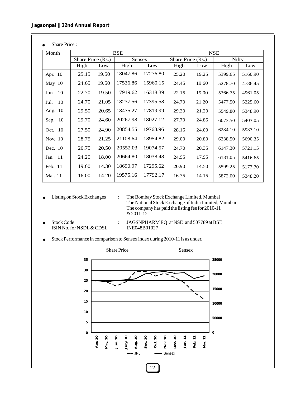Share Price :

| Month        | <b>BSE</b>        |       |          | <b>NSE</b> |       |                   |         |              |  |
|--------------|-------------------|-------|----------|------------|-------|-------------------|---------|--------------|--|
|              | Share Price (Rs.) |       |          | Sensex     |       | Share Price (Rs.) |         | <b>Nifty</b> |  |
|              | High              | Low   | High     | Low        | High  | Low               | High    | Low          |  |
| Apr. 10      | 25.15             | 19.50 | 18047.86 | 17276.80   | 25.20 | 19.25             | 5399.65 | 5160.90      |  |
| May $10$     | 24.65             | 19.50 | 17536.86 | 15960.15   | 24.45 | 19.60             | 5278.70 | 4786.45      |  |
| Jun. 10      | 22.70             | 19.50 | 17919.62 | 16318.39   | 22.15 | 19.00             | 5366.75 | 4961.05      |  |
| - 10<br>Jul. | 24.70             | 21.05 | 18237.56 | 17395.58   | 24.70 | 21.20             | 5477.50 | 5225.60      |  |
| Aug. 10      | 29.50             | 20.65 | 18475.27 | 17819.99   | 29.30 | 21.20             | 5549.80 | 5348.90      |  |
| Sep. 10      | 29.70             | 24.60 | 20267.98 | 18027.12   | 27.70 | 24.85             | 6073.50 | 5403.05      |  |
| Oct. 10      | 27.50             | 24.90 | 20854.55 | 19768.96   | 28.15 | 24.00             | 6284.10 | 5937.10      |  |
| Nov. 10      | 28.75             | 21.25 | 21108.64 | 18954.82   | 29.00 | 20.80             | 6338.50 | 5690.35      |  |
| Dec. 10      | 26.75             | 20.50 | 20552.03 | 19074.57   | 24.70 | 20.35             | 6147.30 | 5721.15      |  |
| Jan. 11      | 24.20             | 18.00 | 20664.80 | 18038.48   | 24.95 | 17.95             | 6181.05 | 5416.65      |  |
| Feb. 11      | 19.60             | 14.30 | 18690.97 | 17295.62   | 20.90 | 14.50             | 5599.25 | 5177.70      |  |
| Mar. 11      | 16.00             | 14.20 | 19575.16 | 17792.17   | 16.75 | 14.15             | 5872.00 | 5348.20      |  |
|              |                   |       |          |            |       |                   |         |              |  |

• Listing on Stock Exchanges

The National Stock Exchange of India Limited, Mumbai The company has paid the listing fee for 2010-11 & 2011-12. : The Bombay Stock Exchange Limited, Mumbai

Stock Code : JAGSNPHARM EQ at NSE and 507789 at BSE<br>ISIN No. for NSDL & CDSL INE048B01027 ISIN No. for NSDL & CDSL

●Stock Performance in comparison to Sensex index during 2010-11 is as under.

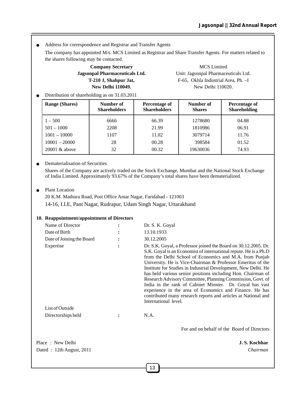● Address for correspondence and Registrar and Transfer Agents

The company has appointed M/s. MCS Limited as Registrar and Share Transfer Agents. For matters related to the shares following may be contacted.

## **Company Secretary** MCS Limited

**Jagsonpal Pharmaceuticals Ltd.** Unit: Jagsonpal Pharmaceuticals Ltd. **T-210 J, Shahpur Jat,** F-65, Okhla Industrial Area, Ph. –I **New Delhi 110049.** New Delhi 110020.

● Distribution of shareholding as on 31.03.2011

| <b>Range (Shares)</b> | Number of<br><b>Shareholders</b> | Percentage of<br><b>Shareholders</b> | Number of<br><b>Shares</b> | Percentage of<br><b>Shareholding</b> |
|-----------------------|----------------------------------|--------------------------------------|----------------------------|--------------------------------------|
| $1 - 500$             | 6666                             | 66.39                                | 1278680                    | 04.88                                |
| $501 - 1000$          | 2208                             | 21.99                                | 1810986                    | 06.91                                |
| $1001 - 10000$        | 1107                             | 11.02                                | 3079714                    | 11.76                                |
| $10001 - 20000$       | 28                               | 00.28                                | 398584                     | 01.52                                |
| $20001 \&$ above      | 32                               | 00.32                                | 19630036                   | 74.93                                |

#### ● Dematerialisation of Securities

Shares of the Company are actively traded on the Stock Exchange, Mumbai and the National Stock Exchange of India Limited. Approximately 93.67% of the Company's total shares have been dematerialized.

#### ● Plant Location

20 K.M. Mathura Road, Post Office Amar Nagar, Faridabad - 121003 14-16, I.I.E, Pant Nagar, Rudrapur, Udam Singh Nagar, Uttarakhand

#### **10. Reappointment/appointment of Directors**

| Name of Director                             | Dr. S. K. Goyal                                                                                                                                                                                                                                                                                                                                                                                                                                                                                                                                                                                                                                                                |
|----------------------------------------------|--------------------------------------------------------------------------------------------------------------------------------------------------------------------------------------------------------------------------------------------------------------------------------------------------------------------------------------------------------------------------------------------------------------------------------------------------------------------------------------------------------------------------------------------------------------------------------------------------------------------------------------------------------------------------------|
| Date of Birth                                | 13.10.1933                                                                                                                                                                                                                                                                                                                                                                                                                                                                                                                                                                                                                                                                     |
| Date of Joining the Board                    | 30.12.2005                                                                                                                                                                                                                                                                                                                                                                                                                                                                                                                                                                                                                                                                     |
| Expertise                                    | Dr. S.K. Goyal, a Professor joined the Board on 30.12.2005. Dr.<br>S.K. Goyal is an Economist of international repute. He is a Ph.D<br>from the Delhi School of Economics and M.A. from Punjab<br>University. He is Vice-Chairman & Professor Emeritus of the<br>Institute for Studies in Industrial Development, New Delhi. He<br>has held various senior positions including Hon. Chairman of<br>Research Advisory Committee, Planning Commission, Govt. of<br>India in the rank of Cabinet Minster. Dr. Goyal has vast<br>experience in the area of Economics and Finance. He has<br>contributed many research reports and articles at National and<br>International level. |
| List of Outside                              |                                                                                                                                                                                                                                                                                                                                                                                                                                                                                                                                                                                                                                                                                |
| Directorships held                           | N.A.                                                                                                                                                                                                                                                                                                                                                                                                                                                                                                                                                                                                                                                                           |
|                                              | For and on behalf of the Board of Directors                                                                                                                                                                                                                                                                                                                                                                                                                                                                                                                                                                                                                                    |
| Place: New Delhi<br>Dated: 12th August, 2011 | J.S. Kochhar<br>Chairman                                                                                                                                                                                                                                                                                                                                                                                                                                                                                                                                                                                                                                                       |
|                                              |                                                                                                                                                                                                                                                                                                                                                                                                                                                                                                                                                                                                                                                                                |

13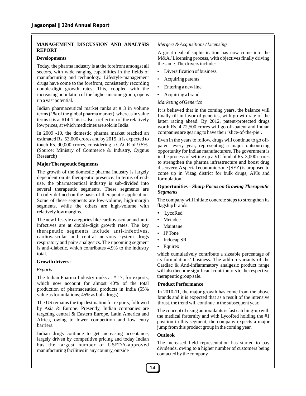#### **MANAGEMENT DISCUSSION AND ANALYSIS REPORT**

#### **Developments**

Today, the pharma industry is at the forefront amongst all sectors, with wide ranging capabilities in the fields of manufacturing and technology. Lifestyle-management drugs have come to the forefront, consistently recording double-digit growth rates. This, coupled with the increasing population of the higher-income group, opens up a vast potential.

Indian pharmaceutical market ranks at # 3 in volume terms (1% of the global pharma market), whereas in value terms it is at #14. This is also a reflection of the relatively low prices, at which medicines are sold in India.

In 2009 -10, the domestic pharma market reached an estimated Rs. 53,000 crores and by 2015, it is expected to touch Rs. 90,000 crores, considering a CAGR of 9.5%. (Source: Ministry of Commerce & Industry, Cygnus Research)

#### **MajorTherapeutic Segments**

The growth of the domestic pharma industry is largely dependent on its therapeutic presence. In terms of enduse, the pharmaceutical industry is sub-divided into several therapeutic segments. These segments are broadly defined on the basis of therapeutic application. Some of these segments are low-volume, high-margin segments, while the others are high-volume with relatively low margins.

The new lifestyle categories like cardiovascular and antiinfectives are at double-digit growth rates. The key therapeutic segments include anti-infectives, cardiovascular and central nervous system drugs respiratory and pain/ analgesics. The upcoming segment is anti-diabetic, which contributes 4.9% to the industry total.

#### **Growth drivers:**

#### *Exports*

The Indian Pharma Industry ranks at # 17, for exports, which now account for almost 40% of the total production of pharmaceutical products in India (55% value as formulations; 45% as bulk drugs).

The US remains the top destination for exports, followed by Asia & Europe. Presently, Indian companies are targeting central & Eastern Europe, Latin America and Africa, owing to lower competition and low entry barriers.

Indian drugs continue to get increasing acceptance, largely driven by competitive pricing and today Indian has the largest number of USFDA-approved manufacturing facilities in any country, outside

#### *Mergers & Acquisitions / Licensing*

A great deal of sophistication has now come into the M&A/ Licensing process, with objectives finally driving the same. The drivers include:

- Diversification of business<br>Acquiring patents
- Acquiring patents<br>• Entering a new lin
- Entering a new line<br>• Acquiring a brand
- Acquiring a brand

#### *Marketing of Generics*

It is believed that in the coming years, the balance will finally tilt in favor of generics, with growth rate of the latter racing ahead. By 2012, patent-protected drugs worth Rs. 4,72,500 crores will go off-patent and Indian companies are gearing to have their 'slice-of-the-pie'.

Even in the years to follow, drugs will continue to go offpatent every year, representing a major outsourcing opportunity for Indian manufacturers. The government is in the process of setting up a VC fund of Rs. 3,000 crores to strengthen the pharma infrastructure and boost drug discovery. Aspecial economic zone (SEZ) is proposed to come up in Vizag district for bulk drugs, APIs and formulation.

#### **Opportunities –** *Sharp Focus on Growing Therapeutic Segments*

The company will initiate concrete steps to strengthen its flagship brands:<br>• LycoRed

- LycoRed<br>Metadec
- 
- Metadec<br>• Maintano
- Maintane<br>• JPTone
- JPTone<br>• Indocap • Indocap SR<br>• Equirex
- Equirex

which cumulatively contribute a sizeable percentage of its formulations' business. The add-on variants of the Cardiac & Anti-inflammatory analgesic product range will also become significant contributors to the respective therapeutic group sale.

#### **Product Performance**

In 2010-11, the major growth has come from the above brands and it is expected that as a result of the intensive thrust, the trend will continue in the subsequent year.

The concept of using antioxidants is fast catching-up with the medical fraternity and with LycoRed holding the #1 position in this segment, the company expects a major jump from this product group in the coming year.

#### **Outlook**

The increased field representation has started to pay dividends, owing to a higher number of customers being contacted by the company.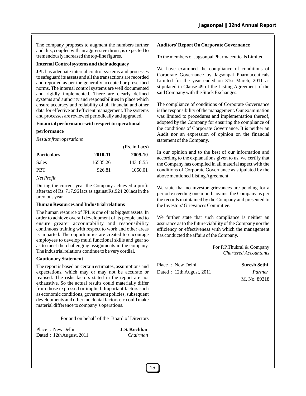The company proposes to augment the numbers further and this, coupled with an aggressive thrust, is expected to tremendously increased the top-line figures.

#### **Internal Control systems and their adequacy**

JPL has adequate internal control systems and processes to safeguard its assets and all the transactions are recorded and reported as per the generally accepted or prescribed norms. The internal control systems are well documented and rigidly implemented. There are clearly defined systems and authority and responsibilities in place which ensure accuracy and reliability of all financial and other data for effective and efficient management. The systems and processes are reviewed periodically and upgraded.

#### **Financial performance with respect to operational**

#### **performance**

*Results from operations*

|          | (Rs. in Lacs) |
|----------|---------------|
| 2010-11  | 2009-10       |
| 16535.26 | 14318.55      |
| 926.81   | 1050.01       |
|          |               |

#### *Net Profit*

During the current year the Company achieved a profit after tax of Rs. 717.96 lacs as against Rs.924.20 lacs in the previous year.

#### **Human Resources and Industrial relations**

The human resource of JPL is one of its biggest assets. In order to achieve overall development of its people and to ensure greater accountability and responsibility continuous training with respect to work and other areas is imparted. The opportunities are created to encourage employees to develop multi functional skills and gear so as to meet the challenging assignments in the company. The industrial relations continue to be very cordial.

#### **Cautionary Statement**

The report is based on certain estimates, assumptions and expectations, which may or may not be accurate or realised. The risks factors stated in the report are not exhaustive. So the actual results could materially differ from those expressed or implied. Important factors such as economic conditions, government policies, subsequent developments and other incidental factors etc could make material difference to company's operations.

For and on behalf of the Board of Directors

Place : New Delhi **J.S. Kochhar** Dated : 12thAugust, 2011 *Chairman*

#### **Auditors' Report On Corporate Governance**

To the members of Jagsonpal Pharmaceuticals Limited

We have examined the compliance of conditions of Corporate Governance by Jagsonpal Pharmaceuticals Limited for the year ended on 31st March, 2011 as stipulated in Clause 49 of the Listing Agreement of the said Company with the Stock Exchanges.

The compliance of conditions of Corporate Governance is the responsibility of the management. Our examination was limited to procedures and implementation thereof, adopted by the Company for ensuring the compliance of the conditions of Corporate Governance. It is neither an Audit nor an expression of opinion on the financial statement of the Company.

In our opinion and to the best of our information and according to the explanations given to us, we certify that the Company has complied in all material aspect with the conditions of Corporate Governance as stipulated by the above mentioned Listing Agreement.

We state that no investor grievances are pending for a period exceeding one month against the Company as per the records maintained by the Company and presented to the Investors' Grievances Committee.

We further state that such compliance is neither an assurance as to the future viability of the Company nor the efficiency or effectiveness with which the management has conducted the affairs of the Company.

> For P.P.Thukral & Company *Chartered Accountants*

Place : New Delhi **Suresh Sethi** Dated : 12th August, 2011 *Partner*

## M. No. 89318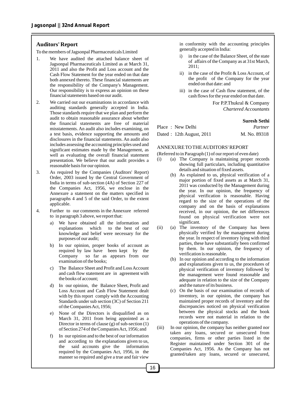#### **Auditors' Report**

To the members of Jagsonpal Pharmaceuticals Limited

- 1. We have audited the attached balance sheet of Jagsonpal Pharmaceuticals Limited as at March 31, 2011 and also the Profit and Loss account and the Cash Flow Statement for the year ended on that date both annexed thereto. These financial statements are the responsibility of the Company's Management. Our responsibility is to express an opinion on these financial statements based on our audit.
- 2. We carried out our examinations in accordance with auditing standards generally accepted in India. Those standards require that we plan and perform the audit to obtain reasonable assurance about whether the financial statements are free of material misstatements. An audit also includes examining, on a test basis, evidence supporting the amounts and disclosures in the financial statements. An audit also includes assessing the accounting principles used and significant estimates made by the Management, as well as evaluating the overall financial statement presentation. We believe that our audit provides a reasonable basis for our opinion.
- 3. As required by the Companies (Auditors' Report) Order, 2003 issued by the Central Government of India in terms of sub-section (4A) of Section 227 of the Companies Act, 1956, we enclose in the Annexure a statement on the matters specified in paragraphs 4 and 5 of the said Order, to the extent applicable.
- 4. Further to our comments in the Annexure referred to in paragraph 3 above, we report that:
	- a) We have obtained all the information and explanations which to the best of our knowledge and belief were necessary for the purposes of our audit;
	- b) In our opinion, proper books of account as required by law have been kept by the Company so far as appears from our examination of the books;
	- c) The Balance Sheet and Profit and Loss Account and cash flow statement are in agreement with the books of account;
	- d) In our opinion, the Balance Sheet, Profit and Loss Account and Cash Flow Statement dealt with by this report comply with the Accounting Standards under sub section (3C) of Section 211 of the Companies Act, 1956;
	- e) None of the Directors is disqualified as on March 31, 2011 from being appointed as a Director in terms of clause (g) of sub-section (1) of Section 274 of the Companies Act, 1956; and
	- f) In our opinion and to the best of our information and according to the explanations given to us,<br>the said accounts give the information said accounts give the information required by the Companies Act, 1956, in the manner so required and give a true and fair view

in conformity with the accounting principles generally accepted in India:

- i) in the case of the Balance Sheet, of the state of affairs of the Company as at 31st March, 2011;
- ii) in the case of the Profit & Loss Account, of the profit of the Company for the year ended on that date: and
- iii) in the case of Cash flow statement, of the cash flows for the year ended on that date.

For P.P.Thukral & Company *Chartered Accountants*

#### **Suresh Sethi**

| Place: New Delhi         | Partner      |
|--------------------------|--------------|
| Dated: 12th August, 2011 | M. No. 89318 |

#### ANNEXURE TO THE AUDITORS' REPORT

(Referred to in Paragraph (1) of our report of even date)

- (i) (a) The Company is maintaining proper records showing full particulars, including quantitative details and situation of fixed assets.
	- (b) As explained to us, physical verification of a major portion of fixed assets as at March 31, 2011 was conducted by the Management during the year. In our opinion, the frequency of physical verification is reasonable. Having regard to the size of the operations of the company and on the basis of explanations received, in our opinion, the net differences found on physical verification were not significant.
- (ii) (a) The inventory of the Company has been physically verified by the management during the year. In respect of inventory lying with third parties, these have substantially been confirmed by them. In our opinion, the frequency of verification is reasonable.
	- (b) In our opinion and according to the information and explanations given to us, the procedures of physical verification of inventory followed by the management were found reasonable and adequate in relation to the size of the Company and the nature of its business.
	- (c) On the basis of our examination of records of inventory, in our opinion, the company has maintained proper records of inventory and the discrepancies noticed on physical verification between the physical stocks and the book records were not material in relation to the operations of the company.
- (iii) In our opinion, the company has neither granted nor taken any loans, secured or unsecured from companies, firms or other parties listed in the Register maintained under Section 301 of the Companies Act, 1956. As the Company has not granted/taken any loans, secured or unsecured,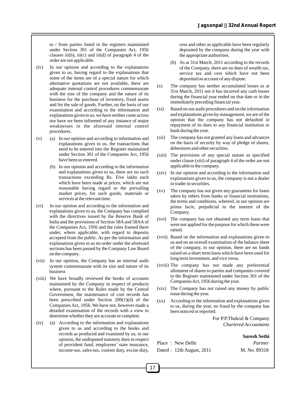to / from parties listed in the registers maintained under Section 301 of the Companies Act, 1956 clauses  $iii(b)$ ,  $iii(c)$  and  $iii(d)$  of paragraph 4 of the order are not applicable.

- (iv) In our opinion and according to the explanations given to us, having regard to the explanations that some of the items are of a special nature for which alternative quotations are not available, there are adequate internal control procedures commensurate with the size of the company and the nature of its business for the purchase of inventory, fixed assets and for the sale of goods. Further, on the basis of our examination and according to the information and explanations given to us, we have neither come across nor have we been informed of any instance of major weaknesses in the aforesaid internal control procedures.
- (v) (a) In our opinion and according to information and explanations given to us, the transactions that need to be entered into the Register maintained under Section 301 of the Companies Act, 1956 have been so entered.
	- (b) In our opinion and according to the information and explanations given to us, there are no such transactions exceeding Rs. Five lakhs each which have been made at prices, which are not reasonable having regard to the prevailing market prices, for such goods, materials or services at the relevant time.
- (vi) In our opinion and according to the information and explanations given to us, the Company has complied with the directives issued by the Reserve Bank of India and the provisions of Section 58A and 58AA of the Companies Act, 1956 and the rules framed there under, where applicable, with regard to deposits accepted from the public. As per the information and explanations given to us no order under the aforesaid sections has been passed by the Company Law Board on the company.
- (vii) In our opinion, the Company has an internal audit system commensurate with its size and nature of its business
- (viii) We have broadly reviewed the books of accounts maintained by the Company in respect of products where, pursuant to the Rules made by the Central Government, the maintenance of cost records has been prescribed under Section 209(1)(d) of the Companies Act, 1956. We have not, however made a detailed examination of the records with a view to determine whether they are accurate or complete.
- (ix) (a) According to the information and explanations given to us and according to the books and records as produced and examined by us, in our opinion, the undisputed statutory dues in respect of provident fund, employees' state insurance, income-tax, sales-tax, custom duty, excise duty,

cess and other as applicable have been regularly deposited by the company during the year with the appropriate authorities.

- (b) As at 31st March, 2011 according to the records of the Company, there are no dues of wealth tax, service tax and cess which have not been deposited on account of any dispute.
- (x) The company has neither accumulated losses as at 31st March, 2011 nor it has incurred any cash losses during the financial year ended on that date or in the immediately preceding financial year.
- (xi) Based on our audit procedures and on the information and explanations given by management, we are of the opinion that the company has not defaulted in repayment of its dues to any financial institution or bank during the year.
- (xii) The company has not granted any loans and advances on the basis of security by way of pledge of shares, debentures and other securities.
- (xiii) The provisions of any special statute as specified under clause (xiii) of paragraph 4 of the order are not applicable to the company.
- (xiv) In our opinion and according to the information and explanations given to us, the company is not a dealer or trader in securities.
- (xv) The company has not given any guarantees for loans taken by others from banks or financial institutions, the terms and conditions, whereof, in our opinion are prima facie, prejudicial to the interest of the Company.
- (xvi) The company has not obtained any term loans that were not applied for the purpose for which these were raised.
- (xvii) Based on the information and explanations given to us and on an overall examination of the balance sheet of the company, in our opinion, there are no funds raised on a short term basis which have been used for long term investment, and vice versa.
- (xviii) The company has not made any preferential allotment of shares to parties and companies covered in the Register maintained under Section 301 of the Companies Act, 1956 during the year.
- (xix) The Company has not raised any money by public issue during the year.
- (xx) According to the information and explanations given to us, during the year, no fraud by the company has been noticed or reported.

For P.P.Thukral & Company *Chartered Accountants*

#### **Suresh Sethi**

| Place: New Delhi         | Partner      |
|--------------------------|--------------|
| Dated: 12th August, 2011 | M. No. 89318 |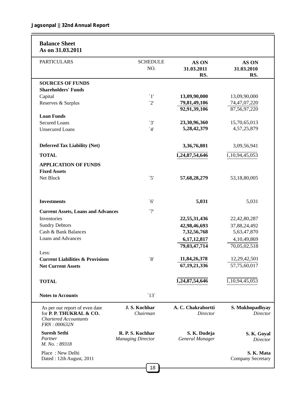| <b>Balance Sheet</b><br>As on 31.03.2011                                                                  |                                              |                                       |                                        |
|-----------------------------------------------------------------------------------------------------------|----------------------------------------------|---------------------------------------|----------------------------------------|
| <b>PARTICULARS</b>                                                                                        | <b>SCHEDULE</b><br>NO.                       | AS ON<br>31.03.2011<br>RS.            | <b>AS ON</b><br>31.03.2010<br>RS.      |
| <b>SOURCES OF FUNDS</b>                                                                                   |                                              |                                       |                                        |
| <b>Shareholders' Funds</b>                                                                                |                                              |                                       |                                        |
| Capital                                                                                                   | $\lceil$                                     | 13,09,90,000                          | 13,09,90,000                           |
| Reserves & Surplus                                                                                        | 2'                                           | 79,81,49,106                          | 74,47,07,220                           |
|                                                                                                           |                                              | 92,91,39,106                          | 87,56,97,220                           |
| <b>Loan Funds</b>                                                                                         |                                              |                                       |                                        |
| <b>Secured Loans</b>                                                                                      | $\mathbf{3}^{\prime}$                        | 23,30,96,360                          | 15,70,65,013                           |
| <b>Unsecured Loans</b>                                                                                    | $^4$                                         | 5,28,42,379                           | 4,57,25,879                            |
| <b>Deferred Tax Liability (Net)</b>                                                                       |                                              | 3,36,76,801                           | 3,09,56,941                            |
| <b>TOTAL</b>                                                                                              |                                              | 1,24,87,54,646                        | 1,10,94,45,053                         |
|                                                                                                           |                                              |                                       |                                        |
| <b>APPLICATION OF FUNDS</b>                                                                               |                                              |                                       |                                        |
| <b>Fixed Assets</b>                                                                                       |                                              |                                       |                                        |
| Net Block                                                                                                 | $\check{\mathcal{5}}$                        | 57,68,28,279                          | 53,18,80,005                           |
| <b>Investments</b>                                                                                        | $\mathcal{L}$                                | 5,031                                 | 5,031                                  |
| <b>Current Assets, Loans and Advances</b>                                                                 | $\gamma$                                     |                                       |                                        |
| Inventories                                                                                               |                                              | 22,55,31,436                          | 22,42,80,287                           |
| <b>Sundry Debtors</b>                                                                                     |                                              | 42,98,46,693                          | 37,88,24,492                           |
| Cash & Bank Balances                                                                                      |                                              | 7,32,56,768                           | 5,63,47,870                            |
| Loans and Advances                                                                                        |                                              | 6,17,12,817                           | 4,10,49,869                            |
|                                                                                                           |                                              | 79,03,47,714                          | 70,05,02,518                           |
| Less:                                                                                                     |                                              |                                       |                                        |
| <b>Current Liabilities &amp; Provisions</b>                                                               | $\mathbf{8}$                                 | 11,84,26,378                          | 12,29,42,501                           |
| <b>Net Current Assets</b>                                                                                 |                                              | 67, 19, 21, 336                       | 57,75,60,017                           |
|                                                                                                           |                                              |                                       |                                        |
| <b>TOTAL</b>                                                                                              |                                              | 1,24,87,54,646                        | 1,10,94,45,053                         |
|                                                                                                           |                                              |                                       |                                        |
| <b>Notes to Accounts</b>                                                                                  | $\degree$ 13                                 |                                       |                                        |
| As per our report of even date<br>for P. P. THUKRAL & CO.<br><b>Chartered Accountants</b><br>FRN: 000632N | J.S. Kochhar<br>Chairman                     | A. C. Chakrabortti<br><b>Director</b> | S. Mukhopadhyay<br><b>Director</b>     |
| <b>Suresh Sethi</b><br>Partner<br>M. No.: 89318                                                           | R. P. S. Kochhar<br><b>Managing Director</b> | S. K. Dudeja<br>General Manager       | S. K. Goyal<br>Director                |
| Place: New Delhi<br>Dated: 12th August, 2011                                                              |                                              |                                       | S. K. Mata<br><b>Company Secretary</b> |
|                                                                                                           | 18                                           |                                       |                                        |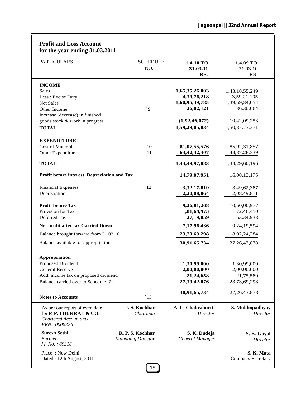| <b>Profit and Loss Account</b><br>for the year ending 31.03.2011                                          |                                              |                                 |                                        |
|-----------------------------------------------------------------------------------------------------------|----------------------------------------------|---------------------------------|----------------------------------------|
| <b>PARTICULARS</b>                                                                                        | <b>SCHEDULE</b><br>NO.                       | 1.4.10 TO<br>31.03.11<br>RS.    | 1.4.09 TO<br>31.03.10<br>RS.           |
| <b>INCOME</b>                                                                                             |                                              |                                 |                                        |
| <b>Sales</b>                                                                                              |                                              | 1,65,35,26,003                  | 1,43,18,55,249                         |
| Less : Excise Duty                                                                                        |                                              | 4, 39, 76, 218                  | 3,59,21,195                            |
| <b>Net Sales</b>                                                                                          |                                              | 1,60,95,49,785                  | 1,39,59,34,054                         |
| Other Income                                                                                              | $\alpha$                                     | 26,02,121                       | 36,30,064                              |
| Increase (decrease) in finished<br>goods stock & work in progress                                         |                                              | (1,92,46,072)                   | 10,42,09,253                           |
| <b>TOTAL</b>                                                                                              |                                              | 1,59,29,05,834                  | 1,50,37,73,371                         |
|                                                                                                           |                                              |                                 |                                        |
| <b>EXPENDITURE</b>                                                                                        |                                              |                                 |                                        |
| <b>Cost of Materials</b>                                                                                  | $\degree$ 10'                                | 81,07,55,576                    | 85, 92, 31, 857                        |
| Other Expenditure                                                                                         | `11'                                         | 63, 42, 42, 307                 | 48, 37, 28, 339                        |
| <b>TOTAL</b>                                                                                              |                                              | 1,44,49,97,883                  | 1,34,29,60,196                         |
| Profit before interest, Depreciation and Tax                                                              |                                              | 14,79,07,951                    | 16,08,13,175                           |
| <b>Financial Expenses</b>                                                                                 | '12'                                         | 3,32,17,819                     | 3,49,62,387                            |
| Depreciation                                                                                              |                                              | 2,20,08,864                     | 2,08,49,811                            |
| <b>Profit before Tax</b>                                                                                  |                                              | 9,26,81,268                     | 10,50,00,977                           |
| Provision for Tax                                                                                         |                                              | 1,81,64,973                     | 72,46,450                              |
| Deferred Tax                                                                                              |                                              | 27,19,859                       | 53, 34, 933                            |
| Net profit after tax Carried Down                                                                         |                                              | 7,17,96,436                     | 9,24,19,594                            |
| Balance brought forward from 31.03.10                                                                     |                                              | 23,73,69,298                    | 18,02,24,284                           |
| Balance available for appropriation                                                                       |                                              | 30,91,65,734                    | 27, 26, 43, 878                        |
| <b>Appropriation</b>                                                                                      |                                              |                                 |                                        |
| Proposed Dividend                                                                                         |                                              | 1,30,99,000                     | 1,30,99,000                            |
| <b>General Reserve</b>                                                                                    |                                              | 2,00,00,000                     | 2,00,00,000                            |
| Add. income tax on proposed dividend                                                                      |                                              | 21,24,658                       | 21,75,580                              |
| Balance carried over to Schedule `2'                                                                      |                                              | 27,39,42,076                    | 23,73,69,298                           |
| <b>Notes to Accounts</b>                                                                                  | $\mathbf{13}'$                               | 30,91,65,734                    | 27, 26, 43, 878                        |
| As per our report of even date<br>for P. P. THUKRAL & CO.<br><b>Chartered Accountants</b><br>FRN: 000632N | J.S. Kochhar<br>Chairman                     | A. C. Chakrabortti<br>Director  | S. Mukhopadhyay<br>Director            |
| <b>Suresh Sethi</b><br>Partner<br>M. No.: 89318                                                           | R. P. S. Kochhar<br><b>Managing Director</b> | S. K. Dudeja<br>General Manager | S. K. Goyal<br>Director                |
| Place: New Delhi<br>Dated: 12th August, 2011                                                              |                                              |                                 | S. K. Mata<br><b>Company Secretary</b> |
|                                                                                                           | 19                                           |                                 |                                        |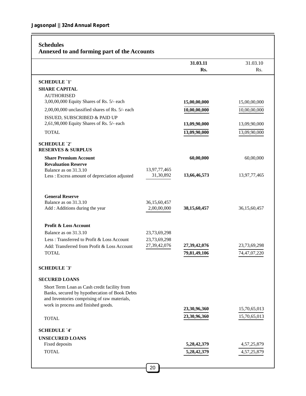#### **Schedules**

#### **Annexed to and forming part of the Accounts**

|                                                                        |                           | 31.03.11     | 31.03.10        |
|------------------------------------------------------------------------|---------------------------|--------------|-----------------|
|                                                                        |                           | Rs.          | Rs.             |
| <b>SCHEDULE `1'</b>                                                    |                           |              |                 |
| <b>SHARE CAPITAL</b>                                                   |                           |              |                 |
| <b>AUTHORISED</b>                                                      |                           |              |                 |
| 3,00,00,000 Equity Shares of Rs. 5/- each                              |                           | 15,00,00,000 | 15,00,00,000    |
| 2,00,00,000 unclassified shares of Rs. 5/- each                        |                           | 10,00,00,000 | 10,00,00,000    |
| ISSUED, SUBSCRIBED & PAID UP                                           |                           |              |                 |
| 2,61,98,000 Equity Shares of Rs. 5/- each                              |                           | 13,09,90,000 | 13,09,90,000    |
| <b>TOTAL</b>                                                           |                           | 13,09,90,000 | 13,09,90,000    |
| <b>SCHEDULE `2'</b>                                                    |                           |              |                 |
| <b>RESERVES &amp; SURPLUS</b>                                          |                           |              |                 |
| <b>Share Premium Account</b>                                           |                           | 60,00,000    | 60,00,000       |
| <b>Revaluation Reserve</b>                                             |                           |              |                 |
| Balance as on 31.3.10<br>Less : Excess amount of depreciation adjusted | 13,97,77,465<br>31,30,892 | 13,66,46,573 | 13,97,77,465    |
|                                                                        |                           |              |                 |
| <b>General Reserve</b>                                                 |                           |              |                 |
| Balance as on 31.3.10                                                  | 36,15,60,457              |              |                 |
| Add : Additions during the year                                        | 2,00,00,000               | 38,15,60,457 | 36, 15, 60, 457 |
|                                                                        |                           |              |                 |
| <b>Profit &amp; Loss Account</b>                                       |                           |              |                 |
| Balance as on 31.3.10                                                  | 23,73,69,298              |              |                 |
| Less: Transferred to Profit & Loss Account                             | 23,73,69,298              |              |                 |
| Add: Transferred from Profit & Loss Account                            | 27,39,42,076              | 27,39,42,076 | 23,73,69,298    |
| <b>TOTAL</b>                                                           |                           | 79,81,49,106 | 74,47,07,220    |
| <b>SCHEDULE `3'</b>                                                    |                           |              |                 |
| <b>SECURED LOANS</b>                                                   |                           |              |                 |
| Short Term Loan as Cash credit facility from                           |                           |              |                 |
| Banks, secured by hypothecation of Book Debts                          |                           |              |                 |
| and Inventories comprising of raw materials,                           |                           |              |                 |
| work in process and finished goods.                                    |                           | 23,30,96,360 | 15,70,65,013    |
| <b>TOTAL</b>                                                           |                           | 23,30,96,360 | 15,70,65,013    |
|                                                                        |                           |              |                 |
| <b>SCHEDULE '4'</b>                                                    |                           |              |                 |
| <b>UNSECURED LOANS</b>                                                 |                           |              |                 |
| Fixed deposits                                                         |                           | 5,28,42,379  | 4,57,25,879     |
| <b>TOTAL</b>                                                           |                           | 5,28,42,379  | 4,57,25,879     |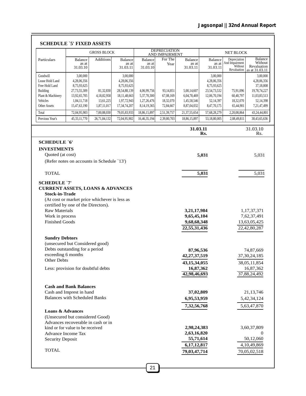|                                                                                                   | <b>GROSS BLOCK</b>                                                                                        |                                       |                                                                                       |                                           | <b>DEPRECIATION</b><br>AND IMPAIRMENT |                                                                              |                                                                                     | <b>NET BLOCK</b>                                         |                                                                                   |  |
|---------------------------------------------------------------------------------------------------|-----------------------------------------------------------------------------------------------------------|---------------------------------------|---------------------------------------------------------------------------------------|-------------------------------------------|---------------------------------------|------------------------------------------------------------------------------|-------------------------------------------------------------------------------------|----------------------------------------------------------|-----------------------------------------------------------------------------------|--|
| Particulars                                                                                       | <b>Balance</b><br>as at<br>31.03.10                                                                       | Additions                             | <b>Balance</b><br>as at<br>31.03.11                                                   | Balance<br>as at<br>31.03.10              | For The<br>Year                       | <b>Balance</b><br>as at<br>31.03.11                                          | Balance<br>as at<br>31.03.11                                                        | Depreciation<br>And Impairment<br>Without<br>Revaluation | Balance<br>Without<br>Revaluation<br>as at 31.03.11                               |  |
| Goodwill<br>Lease Hold Land<br>Free Hold Land<br><b>Building</b><br>Plant & Machinery<br>Vehicles | 3,00,000<br>4,28,06,356<br>8,75,93,625<br>27,73,55,309<br>13,92,65,705<br>1,84,11,718                     | 81,32,830<br>4,18,82,958<br>13,61,225 | 3,00,000<br>4,28,06,356<br>8,75,93,625<br>28,54,88,139<br>18,11,48,663<br>1,97,72,943 | 4,06,99,756<br>5,37,70,300<br>1,27,26,476 | 93,14,851<br>67,08,169<br>18,32,070   | 5,00,14,607<br>6,04,78,469<br>1,45,58,546                                    | 3,00,000<br>4,28,06,356<br>8,75,93,625<br>23,54,73,532<br>12,06,70,194<br>52,14,397 | 75,91,096<br>60,40,797<br>18,32,070                      | 3,00,000<br>4,28,06,356<br>37,18,808<br>19,78,74,227<br>11,03,83,513<br>52,14,398 |  |
| <b>Other Assets</b>                                                                               | 15,47,63,190                                                                                              | 1,87,11,017                           | 17, 34, 74, 207                                                                       | 8,14,19,365                               | 72,84,667                             | 8,87,04,032                                                                  | 8,47,70,175                                                                         | 65,44,901                                                | 7,21,47,499                                                                       |  |
| Total<br>Previous Year's                                                                          | 72,04,95,903<br>45, 33, 11, 770                                                                           | 7,00,88,030<br>26,71,84,132           | 79,05,83,933<br>72,04,95,902                                                          | 18,86,15,897<br>16,46,35,194              | 2,51,39,757<br>2,39,80,703            | 21,37,55,654<br>18,86,15,897                                                 | 57,68,28,279<br>53,18,80,005                                                        | 2,20,08,864<br>2,08,49,811                               | 43,24,44,801<br>38,43,65,636                                                      |  |
|                                                                                                   |                                                                                                           |                                       |                                                                                       |                                           |                                       | 31.03.11                                                                     |                                                                                     |                                                          | 31.03.10                                                                          |  |
|                                                                                                   |                                                                                                           |                                       |                                                                                       |                                           |                                       |                                                                              | Rs.                                                                                 |                                                          | Rs.                                                                               |  |
| <b>SCHEDULE `6'</b>                                                                               |                                                                                                           |                                       |                                                                                       |                                           |                                       |                                                                              |                                                                                     |                                                          |                                                                                   |  |
| <b>INVESTMENTS</b><br>Quoted (at cost)                                                            | (Refer notes on accounts in Schedule `13')                                                                |                                       |                                                                                       |                                           |                                       |                                                                              | 5,031                                                                               |                                                          | 5,031                                                                             |  |
| <b>TOTAL</b>                                                                                      |                                                                                                           |                                       |                                                                                       |                                           |                                       |                                                                              | 5,031                                                                               |                                                          | 5,031                                                                             |  |
| <b>Raw Materials</b><br>Work in process<br><b>Finished Goods</b>                                  | (At cost or market price whichever is less as<br>certified by one of the Directors).                      |                                       |                                                                                       |                                           |                                       | 3,21,17,984<br>9,65,45,104<br>9,68,68,348<br>22,55,31,436                    |                                                                                     |                                                          | 1,17,37,371<br>7,62,37,491<br>13,63,05,425<br>22,42,80,287                        |  |
| <b>Sundry Debtors</b><br>exceeding 6 months<br>Other Debts                                        | (unsecured but Considered good)<br>Debts outstanding for a period<br>Less: provision for doubtful debts   |                                       |                                                                                       |                                           |                                       | 87,96,536<br>42, 27, 37, 519<br>43, 15, 34, 055<br>16,87,362<br>42,98,46,693 |                                                                                     |                                                          | 74,87,669<br>37, 30, 24, 185<br>38,05,11,854<br>16,87,362<br>37,88,24,492         |  |
|                                                                                                   | <b>Cash and Bank Balances</b><br>Cash and Imprest in hand<br><b>Balances with Scheduled Banks</b>         |                                       |                                                                                       |                                           |                                       | 37,02,809<br>6,95,53,959<br>7,32,56,768                                      |                                                                                     |                                                          | 21, 13, 746<br>5,42,34,124<br>5,63,47,870                                         |  |
| <b>Loans &amp; Advances</b><br><b>Advance Income Tax</b><br><b>Security Deposit</b>               | (Unsecured but considered Good)<br>Advances recoverable in cash or in<br>kind or for value to be received |                                       |                                                                                       |                                           |                                       | 2,98,24,383<br>2,63,16,820<br>55,71,614<br>6,17,12,817                       |                                                                                     |                                                          | 3,60,37,809<br>$\Omega$<br>50,12,060<br>4,10,49,869                               |  |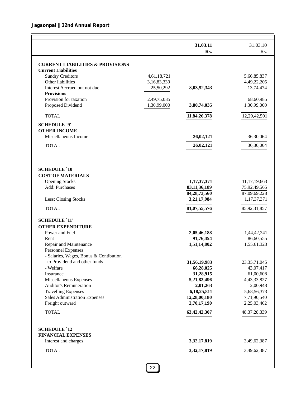|                                              |                            | 31.03.11<br>Rs.          | 31.03.10<br>Rs.          |
|----------------------------------------------|----------------------------|--------------------------|--------------------------|
|                                              |                            |                          |                          |
| <b>CURRENT LIABILITIES &amp; PROVISIONS</b>  |                            |                          |                          |
| <b>Current Liabilities</b>                   |                            |                          |                          |
| <b>Sundry Creditors</b><br>Other liabilities | 4,61,18,721<br>3,16,83,330 |                          | 5,66,85,837              |
| Interest Accrued but not due                 |                            |                          | 4,49,22,205<br>13,74,474 |
| <b>Provisions</b>                            | 25,50,292                  | 8,03,52,343              |                          |
| Provision for taxation                       | 2,49,75,035                |                          | 68,60,985                |
| Proposed Dividend                            | 1,30,99,000                | 3,80,74,035              | 1,30,99,000              |
|                                              |                            |                          |                          |
| <b>TOTAL</b>                                 |                            | 11,84,26,378             | 12,29,42,501             |
| <b>SCHEDULE `9'</b>                          |                            |                          |                          |
| <b>OTHER INCOME</b>                          |                            |                          |                          |
| Miscellaneous Income                         |                            | 26,02,121                | 36,30,064                |
| <b>TOTAL</b>                                 |                            | 26,02,121                | 36,30,064                |
|                                              |                            |                          |                          |
|                                              |                            |                          |                          |
| <b>SCHEDULE `10'</b>                         |                            |                          |                          |
| <b>COST OF MATERIALS</b>                     |                            |                          |                          |
| <b>Opening Stocks</b>                        |                            | 1,17,37,371              | 11,17,19,663             |
| Add: Purchases                               |                            | 83,11,36,189             | 75,92,49,565             |
|                                              |                            | 84, 28, 73, 560          | 87,09,69,228             |
| Less: Closing Stocks                         |                            | 3,21,17,984              | 1,17,37,371              |
| <b>TOTAL</b>                                 |                            | 81,07,55,576             | 85,92,31,857             |
| <b>SCHEDULE `11'</b>                         |                            |                          |                          |
| <b>OTHER EXPENDITURE</b>                     |                            |                          |                          |
| Power and Fuel                               |                            |                          |                          |
| Rent                                         |                            | 2,05,46,188<br>91,76,454 | 1,44,42,241<br>86,60,555 |
| Repair and Maintenance                       |                            | 1,51,14,802              | 1,55,61,323              |
| <b>Personnel Expenses</b>                    |                            |                          |                          |
| - Salaries, Wages, Bonus & Contibution       |                            |                          |                          |
| to Providend and other funds                 |                            | 31,56,19,983             | 23, 35, 71, 045          |
| - Welfare                                    |                            | 66,28,025                | 43,07,417                |
| Insurance                                    |                            | 31,28,915                | 61,00,608                |
| Miscellaneous Expenses                       |                            | 5,21,83,496              | 4,43,33,827              |
| <b>Auditor's Remuneration</b>                |                            | 2,01,263                 | 2,00,948                 |
| <b>Travelling Expenses</b>                   |                            | 6,18,25,811              | 5,68,56,373              |
| <b>Sales Administration Expenses</b>         |                            | 12,28,00,180             | 7,71,90,540              |
| Freight outward                              |                            | 2,70,17,190              | 2,25,03,462              |
|                                              |                            |                          |                          |
| <b>TOTAL</b>                                 |                            | 63, 42, 42, 307          | 48, 37, 28, 339          |
| <b>SCHEDULE `12'</b>                         |                            |                          |                          |
| <b>FINANCIAL EXPENSES</b>                    |                            |                          |                          |
| Interest and charges                         |                            | 3,32,17,819              | 3,49,62,387              |
|                                              |                            | 3,32,17,819              | 3,49,62,387              |
| <b>TOTAL</b>                                 |                            |                          |                          |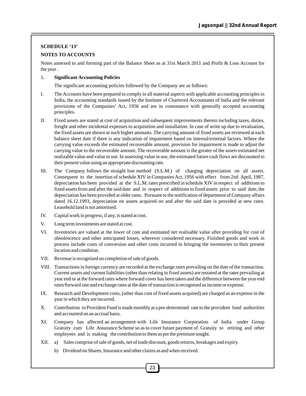#### **SCHEDULE '13'**

#### **NOTES TO ACCOUNTS**

Notes annexed to and forming part of the Balance Sheet as at 31st March 2011 and Profit & Loss Account for the year .

#### 1**. Significant Accounting Policies**

The significant accounting policies followed by the Company are as follows:

- I. The Accounts have been prepared to comply in all material aspects with applicable accounting principles in India, the accounting standards issued by the Institute of Chartered Accountants of India and the relevant provisions of the Companies' Act, 1956 and are in consonance with generally accepted accounting principles.
- II. Fixed assets are stated at cost of acquisition and subsequent improvements thereto including taxes, duties, freight and other incidental expenses to acquisition and installation. In case of write up due to revaluation, the fixed assets are shown at such higher amounts. The carrying amount of fixed assets are reviewed at each balance sheet date if there is any indication of impairment based on internal/external factors. Where the carrying value exceeds the estimated recoverable amount, provision for impairment is made to adjust the carrying value to the recoverable amount. The recoverable amount is the greater of the assets estimated net realizable value and value in use. In assessing value in use, the estimated future cash flows are discounted to their present value using an appropriate discounting rate.
- III. The Company follows the straight line method (S.L.M.) of charging depreciation on all assets. Consequent to the insertion of schedule XIV in Companies Act, 1956 with effect from 2nd April, 1987, depreciation has been provided at the S.L.M. rates prescribed in schedule XIV in respect of additions to fixed assets from and after the said date and in respect of additions to fixed assets prior to said date, the depreciation has been provided at older rates. Pursuant to the notification of department of Company affairs dated 16.12.1993, depreciation on assets acquired on and after the said date is provided at new rates. Leasehold land is not amortised.
- IV. Capital work in progress, if any, is stated at cost.
- V. Long term investments are stated at cost.
- VI. Inventories are valued at the lower of cost and estimated net realisable value after providing for cost of obsolescence and other anticipated losses, wherever considered necessary. Finished goods and work in process include costs of conversion and other costs incurred in bringing the inventories to their present location and condition.
- VII. Revenue is recognised on completion of sale of goods.
- VIII. Transactions in foreign currency are recorded at the exchange rates prevailing on the date of the transaction. Current assets and current liabilities (other than relating to fixed assets) are restated at the rates prevailing at year end or at the forward rates where forward cover has been taken and the difference between the year end rates/forward rate and exchange rates at the date of transaction is recognised as income or expense.
- IX. Research and Development costs, (other than cost of fixed assets acquired) are charged as an expense in the year in which they are incurred.
- X. Contribution to Provident Fund is made monthly at a pre-determined rate to the provident fund authorities and accounted on an accrual basis.
- XI. Company has affected an arrangement with Life Insurance Corporation of India under Group Gratuity cum Life Assurance Scheme so as to cover future payment of Gratuity to retiring and other employees and is making the contribution to them as per the premium sought.
- XII. a) Sales comprise of sale of goods, net of trade discount, goods returns, breakages and expiry.
	- b) Dividend on Shares, Insurance and other claims as and when received.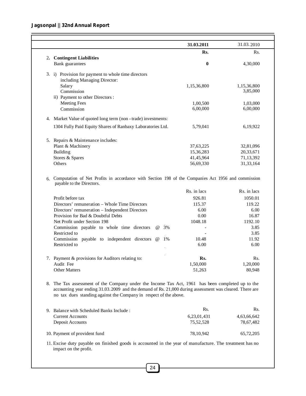#### **Jagsonpal || 32nd Annual Report**

|    |                                                                                                                                 | 31.03.2011  | 31.03.2010                                |
|----|---------------------------------------------------------------------------------------------------------------------------------|-------------|-------------------------------------------|
|    |                                                                                                                                 | Rs.         | Rs.                                       |
|    | 2. Contingent Liabilities                                                                                                       |             |                                           |
|    | Bank guarantees                                                                                                                 | 0           | 4,30,000                                  |
|    | 3. i) Provision for payment to whole time directors                                                                             |             |                                           |
|    | including Managing Director:                                                                                                    |             |                                           |
|    | Salary                                                                                                                          | 1,15,36,800 | 1,15,36,800                               |
|    | Commission                                                                                                                      |             | 3,85,000                                  |
|    | ii) Payment to other Directors :                                                                                                |             |                                           |
|    | <b>Meeting Fees</b>                                                                                                             | 1,00,500    | 1,03,000                                  |
|    | Commission                                                                                                                      | 6,00,000    | 6,00,000                                  |
|    | 4. Market Value of quoted long term (non - trade) investments:                                                                  |             |                                           |
|    | 1304 Fully Paid Equity Shares of Ranbaxy Laboratories Ltd.                                                                      | 5,79,041    | 6,19,922                                  |
|    |                                                                                                                                 |             |                                           |
|    | 5. Repairs & Maintenance includes:                                                                                              |             |                                           |
|    | Plant & Machinery                                                                                                               | 37,63,225   | 32,81,096                                 |
|    | Building                                                                                                                        | 15,36,283   | 20,33,671                                 |
|    | Stores & Spares                                                                                                                 | 41,45,964   | 71,13,392                                 |
|    | Others                                                                                                                          | 56,69,330   | 31,33,164                                 |
|    |                                                                                                                                 |             |                                           |
| 6. | Computation of Net Profits in accordance with Section 198 of the Companies Act 1956 and commission<br>payable to the Directors. |             |                                           |
|    |                                                                                                                                 | Rs. in lacs | Rs. in lacs                               |
|    | Profit before tax                                                                                                               | 926.81      | 1050.01                                   |
|    | Directors' remuneration – Whole Time Directors                                                                                  | 115.37      | 119.22                                    |
|    |                                                                                                                                 | 6.00        | 6.00                                      |
|    | Directors' remuneration - Independent Directors<br>Provision for Bad & Doubtful Debts                                           | 0.00        |                                           |
|    | Net Profit under Section 198                                                                                                    | 1048.18     |                                           |
|    | 3%<br>$\omega$                                                                                                                  |             |                                           |
|    | Commission payable to whole time directors<br>Restricted to                                                                     |             |                                           |
|    | Commission payable to independent directors @<br>1%                                                                             | 10.48       | 16.87<br>1192.10<br>3.85<br>3.85<br>11.92 |
|    | Restricted to                                                                                                                   | 6.00        | 6.00                                      |
|    |                                                                                                                                 |             |                                           |
| 7. | Payment & provisions for Auditors relating to:                                                                                  | Rs.         |                                           |
|    | Audit Fee                                                                                                                       | 1,50,000    | Rs.<br>1,20,000                           |
|    | <b>Other Matters</b>                                                                                                            | 51,263      |                                           |
|    | 8. The Tax assessment of the Company under the Income Tax Act, 1961 has been completed up to the                                |             | 80,948                                    |

| 9. Balance with Scheduled Banks Include: | Rs.         | Rs.         |
|------------------------------------------|-------------|-------------|
| <b>Current Accounts</b>                  | 6.23.01.431 | 4,63,66,642 |
| Deposit Accounts                         | 75.52.528   | 78.67.482   |
| 10. Payment of provident fund            | 78.10.942   | 65,72,205   |

11. Excise duty payable on finished goods is accounted in the year of manufacture. The treatment has no impact on the profit.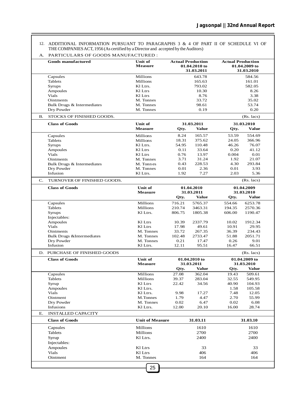ADDITIONAL INFORMATION PURSUANT TO PARAGRAPHS 3 & 4 OF PART II OF SCHEDULE VI OF THE COMPANIES ACT, 1956 (As certified by a Director and accepted by the Auditors) 12.

A. PARTICULARS OF GOODS MANUFACTURED :

|           | <b>Goods manufactured</b><br><b>Unit of</b><br><b>Actual Production</b><br><b>Measure</b><br>01.04.2010 to<br>31.03.2011 |                        |                           | <b>Actual Production</b> | 01.04.2009 to<br>31.03.2010 |                 |        |
|-----------|--------------------------------------------------------------------------------------------------------------------------|------------------------|---------------------------|--------------------------|-----------------------------|-----------------|--------|
|           | Capsules                                                                                                                 | Millions               | 643.78                    |                          |                             | 584.56          |        |
|           | Tablets                                                                                                                  | Millions               | 165.63<br>793.02<br>10.30 |                          |                             |                 | 161.01 |
|           | Syrups                                                                                                                   | Kl Ltrs.               |                           |                          | 582.05                      |                 |        |
|           | Ampoules                                                                                                                 | Kl Ltrs                |                           |                          |                             | 8.26            |        |
|           | <b>Vials</b>                                                                                                             | Kl Ltrs                |                           | 8.76                     |                             | 3.38            |        |
|           | <b>Ointments</b>                                                                                                         | M. Tonnes              |                           | 33.72                    |                             | 35.02           |        |
|           | Bulk Drugs & Intermediates                                                                                               | M. Tonnes              |                           | 98.61                    |                             | 53.74           |        |
|           | Dry Powder                                                                                                               | M. Tonnes              |                           | 0.19                     |                             | 0.20            |        |
| <b>B.</b> | STOCKS OF FINISHED GOODS.                                                                                                |                        |                           |                          |                             | (Rs. lacs)      |        |
|           | <b>Class of Goods</b>                                                                                                    | Unit of                |                           | 31.03.2011               |                             | 31.03.2010      |        |
|           |                                                                                                                          | <b>Measure</b>         | Qty.                      | <b>Value</b>             | Qty.                        | <b>Value</b>    |        |
|           | Capsules                                                                                                                 | Millions               | 8.24                      | 165.57                   | 53.59                       | 554.69          |        |
|           | Tablets                                                                                                                  | Millions               | 18.31                     | 375.62                   | 24.05                       | 366.96          |        |
|           | Syrups                                                                                                                   | Kl Ltrs.               | 54.95                     | 110.48                   | 46.26                       | 76.07           |        |
|           | Ampoules                                                                                                                 | Kl Ltrs                | 0.11                      | 33.64                    | 0.20                        | 41.12           |        |
|           | <b>Vials</b>                                                                                                             | Kl Ltrs                | 0.76                      | 13.97                    | 0.004                       | 0.01            |        |
|           | Ointments                                                                                                                | M. Tonnes              | 3.71                      | 31.24                    | 1.92                        | 21.07           |        |
|           | Bulk Drugs & Intermediates                                                                                               | M. Tonnes              | 0.43                      | 228.53                   | 4.30                        | 293.84          |        |
|           | Dry Powder                                                                                                               | M. Tonnes              | 0.01                      | 2.36                     | 0.01                        | 3.93            |        |
|           | Infusion                                                                                                                 | Kl Ltrs.               | 1.92                      | 7.27                     | 2.03                        | 5.36            |        |
| C.        | TURNOVER OF FINISHED GOODS.                                                                                              |                        |                           |                          |                             | $(Rs.$ lacs $)$ |        |
|           | <b>Class of Goods</b>                                                                                                    | <b>Unit of</b>         | 01.04.2010                |                          | 01.04.2009                  |                 |        |
|           |                                                                                                                          | <b>Measure</b>         |                           | 31.03.2011               |                             | 31.03.2010      |        |
|           |                                                                                                                          |                        | Qty.                      | <b>Value</b>             | Qty.                        | <b>Value</b>    |        |
|           | Capsules                                                                                                                 | Millions               | 716.21                    | 5765.37                  | 554.66                      | 6253.78         |        |
|           | Tablets                                                                                                                  | Millions               | 210.74                    | 3463.31                  | 194.35                      | 2570.36         |        |
|           | Syrups                                                                                                                   | Kl Ltrs.               | 806.75                    | 1805.38                  | 606.00                      | 1190.47         |        |
|           | Injectables:                                                                                                             |                        |                           |                          |                             |                 |        |
|           | Ampoules                                                                                                                 | Kl Ltrs                | 10.39                     | 2337.79                  | 10.02                       | 1912.34         |        |
|           | Vials                                                                                                                    | Kl Ltrs                | 17.98                     | 49.61                    | 10.91                       | 29.95           |        |
|           | <b>Ointments</b>                                                                                                         | M. Tonnes              | 33.72                     | 267.35                   | 36.39                       | 234.43          |        |
|           | <b>Bulk Drugs &amp;Intermediates</b>                                                                                     | M. Tonnes              | 102.48                    | 2733.47                  | 51.88                       | 2051.71         |        |
|           | Dry Powder                                                                                                               | M. Tonnes              | 0.21                      | 17.47                    | 0.26                        | 9.01            |        |
|           | Infusion                                                                                                                 | Kl Ltrs.               | 12.11                     | 95.51                    | 16.47                       | 66.51           |        |
|           | D. PURCHASE OF FINISHED GOODS                                                                                            |                        |                           |                          |                             | (Rs. lacs)      |        |
|           | <b>Class of Goods</b>                                                                                                    | Unit of                |                           | 01.04.2010 to            | 01.04.2009 to               |                 |        |
|           |                                                                                                                          | <b>Measure</b>         |                           | 31.03.2011               |                             | 31.03.2010      |        |
|           |                                                                                                                          |                        | Qty.                      | <b>Value</b>             | Qty.                        | <b>Value</b>    |        |
|           | Capsules                                                                                                                 | Millions               | 27.08                     | 362.04                   | 19.43                       | 509.61          |        |
|           | Tablets                                                                                                                  | Millions               | 39.37                     | 283.04                   | 32.55                       | 549.95          |        |
|           | Syrup                                                                                                                    | Kl Ltrs                | 22.42                     | 34.56                    | 40.90                       | 104.93          |        |
|           | Ampoules                                                                                                                 | Kl Ltrs.               |                           |                          | 1.58                        | 105.58          |        |
|           | Vials                                                                                                                    | Kl Ltrs.               | 9.98                      | 17.27                    | 7.48                        | 12.05           |        |
|           | Ointment                                                                                                                 | M.Tonnes               | 1.79                      | 4.47                     | 2.70                        | 55.99           |        |
|           | Dry Powder                                                                                                               | M. Tonnes              | 0.02                      | 6.47                     | 0.02                        | 6.08            |        |
|           | <b>Infusions</b>                                                                                                         | Kl Ltrs.               | 12.00                     | 20.10                    | 16.00                       | 28.74           |        |
| Ε.        | <b>INSTALLED CAPACITY</b>                                                                                                |                        |                           |                          |                             |                 |        |
|           | <b>Class of Goods</b>                                                                                                    | <b>Unit of Measure</b> |                           | 31.03.11                 |                             | 31.03.10        |        |
|           | Capsules                                                                                                                 | Millions               |                           | 1610                     |                             | 1610            |        |
|           | <b>Tablets</b>                                                                                                           | Millions               |                           | 2700                     |                             | 2700            |        |
|           | Syrup                                                                                                                    | Kl Ltrs.               |                           | 2400                     |                             | 2400            |        |
|           | Injectables:                                                                                                             |                        |                           |                          |                             |                 |        |
|           | Ampoules                                                                                                                 | Kl Ltrs                |                           | 33                       |                             | 33              |        |
|           | Vials                                                                                                                    | Kl Ltrs                |                           | 406                      |                             | 406             |        |
|           | Ointment                                                                                                                 | M. Tonnes              |                           | 164                      |                             | 164             |        |
|           |                                                                                                                          |                        |                           |                          |                             |                 |        |
|           |                                                                                                                          | 25                     |                           |                          |                             |                 |        |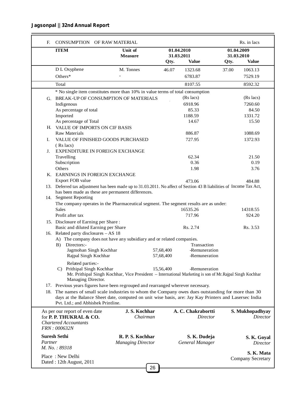#### **Jagsonpal || 32nd Annual Report**

| <b>ITEM</b>              |                                                                                                                                                                                                                                                   | Unit of<br><b>Measure</b>                                                                                |           | 01.04.2010<br>31.03.2011              | 01.04.2009<br>31.03.2010 |                 |
|--------------------------|---------------------------------------------------------------------------------------------------------------------------------------------------------------------------------------------------------------------------------------------------|----------------------------------------------------------------------------------------------------------|-----------|---------------------------------------|--------------------------|-----------------|
|                          |                                                                                                                                                                                                                                                   |                                                                                                          | Qty.      | <b>Value</b>                          | Qty.                     | <b>Value</b>    |
|                          | D L Oxyphene                                                                                                                                                                                                                                      | M. Tonnes                                                                                                | 46.07     | 1323.68                               | 37.00                    | 1063.13         |
|                          | Others*                                                                                                                                                                                                                                           |                                                                                                          |           | 6783.87                               |                          | 7529.19         |
|                          | Total                                                                                                                                                                                                                                             |                                                                                                          |           | 8107.55                               |                          | 8592.32         |
|                          | * No single item constitutes more than 10% in value terms of total consumption                                                                                                                                                                    |                                                                                                          |           |                                       |                          |                 |
|                          | G. BREAK-UP OF CONSUMPTION OF MATERIALS                                                                                                                                                                                                           |                                                                                                          |           | (Rs lacs)                             |                          | (Rs lacs)       |
|                          | Indigenous                                                                                                                                                                                                                                        |                                                                                                          |           | 6918.96                               |                          | 7260.60         |
|                          | As percentage of total                                                                                                                                                                                                                            |                                                                                                          |           | 85.33                                 |                          | 84.50           |
|                          | Imported                                                                                                                                                                                                                                          |                                                                                                          |           | 1188.59                               |                          | 1331.72         |
|                          | As percentage of Total                                                                                                                                                                                                                            |                                                                                                          |           | 14.67                                 |                          | 15.50           |
|                          | H. VALUE OF IMPORTS ON CIF BASIS                                                                                                                                                                                                                  |                                                                                                          |           |                                       |                          |                 |
|                          | <b>Raw Materials</b>                                                                                                                                                                                                                              |                                                                                                          |           | 886.87                                |                          | 1088.69         |
| I.                       | VALUE OF FINISHED GOODS PURCHASED                                                                                                                                                                                                                 |                                                                                                          |           | 727.95                                |                          | 1372.93         |
|                          | $(Rs$ lacs)                                                                                                                                                                                                                                       |                                                                                                          |           |                                       |                          |                 |
| J.                       | <b>EXPENDITURE IN FOREIGN EXCHANGE</b>                                                                                                                                                                                                            |                                                                                                          |           |                                       |                          |                 |
|                          | Travelling                                                                                                                                                                                                                                        |                                                                                                          |           | 62.34                                 |                          | 21.50           |
|                          | Subscription                                                                                                                                                                                                                                      |                                                                                                          |           | 0.36                                  |                          | 0.19            |
|                          | Others                                                                                                                                                                                                                                            |                                                                                                          |           | 1.98                                  |                          | 3.76            |
|                          | K. EARNINGS IN FOREIGN EXCHANGE                                                                                                                                                                                                                   |                                                                                                          |           |                                       |                          |                 |
|                          | Export FOB value                                                                                                                                                                                                                                  |                                                                                                          |           | 473.06                                |                          | 484.88          |
|                          | 13. Deferred tax adjustment has been made up to 31.03.2011. No affect of Section 43 B liabilities of Income Tax Act,<br>has been made as these are permanent differences.                                                                         |                                                                                                          |           |                                       |                          |                 |
|                          | 14. Segment Reporting                                                                                                                                                                                                                             |                                                                                                          |           |                                       |                          |                 |
|                          | The company operates in the Pharmaceutical segment. The segment results are as under:                                                                                                                                                             |                                                                                                          |           |                                       |                          |                 |
|                          | <b>Sales</b>                                                                                                                                                                                                                                      |                                                                                                          |           | 16535.26                              |                          | 14318.55        |
|                          | Profit after tax                                                                                                                                                                                                                                  |                                                                                                          |           | 717.96                                |                          | 924.20          |
|                          | 15. Disclosure of Earning per Share:                                                                                                                                                                                                              |                                                                                                          |           |                                       |                          |                 |
|                          | Basic and diluted Earning per Share                                                                                                                                                                                                               |                                                                                                          |           | Rs. 2.74                              |                          | Rs. 3.53        |
|                          | 16. Related party disclosures - AS 18                                                                                                                                                                                                             |                                                                                                          |           |                                       |                          |                 |
|                          | A) The company does not have any subsidiary and or related companies.<br>Directors:-<br>B)                                                                                                                                                        |                                                                                                          |           | Transaction                           |                          |                 |
|                          | Jagmohan Singh Kochhar                                                                                                                                                                                                                            |                                                                                                          | 57,68,400 | -Remuneration                         |                          |                 |
|                          | Rajpal Singh Kochhar                                                                                                                                                                                                                              |                                                                                                          | 57,68,400 | -Remuneration                         |                          |                 |
|                          | Related parties:-                                                                                                                                                                                                                                 |                                                                                                          |           |                                       |                          |                 |
|                          | C) Prithipal Singh Kochhar                                                                                                                                                                                                                        |                                                                                                          | 15,56,400 | -Remuneration                         |                          |                 |
|                          | Managing Director.                                                                                                                                                                                                                                | Mr. Prithipal Singh Kochhar, Vice President – International Marketing is son of Mr. Rajpal Singh Kochhar |           |                                       |                          |                 |
|                          | 17. Previous years figures have been regrouped and rearranged wherever necessary.                                                                                                                                                                 |                                                                                                          |           |                                       |                          |                 |
|                          | 18. The names of small scale industries to whom the Company owes dues outstanding for more than 30<br>days at the Balance Sheet date, computed on unit wise basis, are: Jay Kay Printers and Lasersec India<br>Pvt. Ltd.; and Abhishek Printline. |                                                                                                          |           |                                       |                          |                 |
|                          | As per our report of even date<br>for P. P. THUKRAL & CO.<br><b>Chartered Accountants</b>                                                                                                                                                         | J.S. Kochhar<br>Chairman                                                                                 |           | A. C. Chakrabortti<br><b>Director</b> | S. Mukhopadhyay          | <b>Director</b> |
|                          | FRN: 000632N<br><b>Suresh Sethi</b>                                                                                                                                                                                                               | R. P. S. Kochhar                                                                                         |           | S. K. Dudeja                          |                          | S. K. Goyal     |
| Partner                  | M. No.: 89318                                                                                                                                                                                                                                     | <b>Managing Director</b>                                                                                 |           | General Manager                       |                          | Director        |
| Dated: 12th August, 2011 | Place: New Delhi                                                                                                                                                                                                                                  |                                                                                                          |           |                                       | Company Secretary        | S. K. Mata      |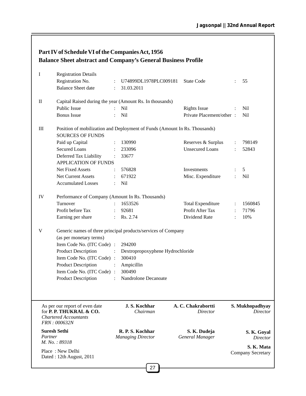| Part IV of Schedule VI of the Companies Act, 1956                    |  |
|----------------------------------------------------------------------|--|
| <b>Balance Sheet abstract and Company's General Business Profile</b> |  |

| I                               | <b>Registration Details</b>                                                                                       |                |                                              |                                 |                |                                    |
|---------------------------------|-------------------------------------------------------------------------------------------------------------------|----------------|----------------------------------------------|---------------------------------|----------------|------------------------------------|
|                                 | Registration No.                                                                                                  | $\ddot{\cdot}$ | U74899DL1978PLC009181                        | <b>State Code</b>               |                | 55                                 |
|                                 | <b>Balance Sheet date</b>                                                                                         | $\ddot{\cdot}$ | 31.03.2011                                   |                                 |                |                                    |
| $\mathop{\mathrm{II}}\nolimits$ | Capital Raised during the year (Amount Rs. In thousands)                                                          |                |                                              |                                 |                |                                    |
|                                 | <b>Public Issue</b>                                                                                               |                | Nil                                          | <b>Rights Issue</b>             | :              | <b>Nil</b>                         |
|                                 | <b>Bonus</b> Issue                                                                                                |                | Nil                                          | Private Placement/other :       |                | <b>Nil</b>                         |
| $\rm III$                       | Position of mobilization and Deployment of Funds (Amount In Rs. Thousands)<br><b>SOURCES OF FUNDS</b>             |                |                                              |                                 |                |                                    |
|                                 | Paid up Capital                                                                                                   |                | 130990                                       | Reserves & Surplus              | $\ddot{\cdot}$ | 798149                             |
|                                 | <b>Secured Loans</b>                                                                                              | $\ddot{\cdot}$ | 233096                                       | <b>Unsecured Loans</b>          |                | 52843                              |
|                                 | Deferred Tax Liability<br><b>APPLICATION OF FUNDS</b>                                                             |                | 33677                                        |                                 |                |                                    |
|                                 | Net Fixed Assets                                                                                                  |                | 576828                                       | Investments                     |                | 5                                  |
|                                 | Net Current Assets                                                                                                |                | 671922                                       | Misc. Expenditure               | $\ddot{\cdot}$ | Nil                                |
|                                 | <b>Accumulated Losses</b>                                                                                         |                | <b>Nil</b>                                   |                                 |                |                                    |
| IV                              | Performance of Company (Amount In Rs. Thousands)                                                                  |                |                                              |                                 |                |                                    |
|                                 | Turnover                                                                                                          |                | 1653526                                      | <b>Total Expenditure</b>        | $\ddot{\cdot}$ | 1560845                            |
|                                 | Profit before Tax                                                                                                 |                | 92681                                        | Profit After Tax                | $\ddot{\cdot}$ | 71796                              |
|                                 | Earning per share                                                                                                 |                | Rs. 2.74                                     | Dividend Rate                   | $\ddot{\cdot}$ | 10%                                |
| $\mathbf V$                     | Generic names of three principal products/services of Company<br>(as per monetary terms)                          |                |                                              |                                 |                |                                    |
|                                 | Item Code No. (ITC Code) :                                                                                        |                | 294200                                       |                                 |                |                                    |
|                                 | <b>Product Description</b>                                                                                        | $\ddot{\cdot}$ | Dextropropoxyphene Hydrochloride             |                                 |                |                                    |
|                                 | Item Code No. (ITC Code) :                                                                                        |                | 300410                                       |                                 |                |                                    |
|                                 | <b>Product Description</b>                                                                                        | $\cdot$        | Ampicillin                                   |                                 |                |                                    |
|                                 | Item Code No. (ITC Code) :                                                                                        |                | 300490                                       |                                 |                |                                    |
|                                 | <b>Product Description</b>                                                                                        |                | Nandrolone Decanoate                         |                                 |                |                                    |
|                                 |                                                                                                                   |                |                                              |                                 |                |                                    |
|                                 | As per our report of even date<br>for P. P. THUKRAL & CO.<br><b>Chartered Accountants</b><br><b>FRN</b> : 000632N |                | J.S. Kochhar<br>Chairman                     | A. C. Chakrabortti<br>Director  |                | S. Mukhopadhyay<br><b>Director</b> |
| Partner                         | <b>Suresh Sethi</b><br>M. No.: 89318                                                                              |                | R. P. S. Kochhar<br><b>Managing Director</b> | S. K. Dudeja<br>General Manager |                | S. K. Goyal<br>Director            |
|                                 | Place: New Delhi                                                                                                  |                |                                              |                                 |                | S. K. Mata<br>Company Secretary    |
|                                 | Dated: 12th August, 2011                                                                                          |                |                                              |                                 |                |                                    |
|                                 |                                                                                                                   |                | 27                                           |                                 |                |                                    |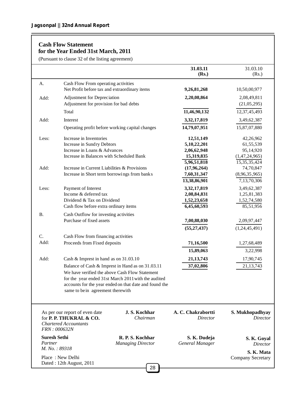#### **Cash Flow Statement for the Year Ended 31st March, 2011**

(Pursuant to clause 32 of the listing agreement)

|                     | (Pursuant to clause 32 of the listing agreement)                  |                                                        |                                |                                        |
|---------------------|-------------------------------------------------------------------|--------------------------------------------------------|--------------------------------|----------------------------------------|
|                     |                                                                   |                                                        | 31.03.11<br>(Rs.)              | 31.03.10<br>(Rs.)                      |
| А.                  | Cash Flow From operating activities                               |                                                        |                                |                                        |
|                     | Net Profit before tax and extraordinary items                     |                                                        | 9,26,81,268                    | 10,50,00,977                           |
| Add:                | Adjustment for Depreciation                                       |                                                        | 2,20,08,864                    | 2,08,49,811                            |
|                     | Adjustment for provision for bad debts                            |                                                        |                                | (21,05,295)                            |
|                     | Total                                                             |                                                        | 11,46,90,132                   | 12,37,45,493                           |
| Add:                | Interest                                                          |                                                        | 3,32,17,819                    | 3,49,62,387                            |
|                     | Operating profit before working capital changes                   |                                                        | 14,79,07,951                   | 15,87,07,880                           |
| Less:               | Increase in Inventories                                           |                                                        | 12,51,149                      | 42,26,962                              |
|                     | Increase in Sundry Debtors                                        |                                                        | 5,10,22,201                    | 61,55,539                              |
|                     | Increase in Loans & Advances                                      |                                                        | 2,06,62,948                    | 95,14,920                              |
|                     | Increase in Balances with Scheduled Bank                          |                                                        | 15,319,835                     | (1,47,24,965)                          |
|                     |                                                                   |                                                        | 5,96,51,818                    | 15,35,35,424                           |
| Add:                | Increase in Current Liabilities & Provisions                      |                                                        | (17, 96, 264)                  | 74,70,847                              |
|                     | Increase in Short term borrowings from banks                      |                                                        | 7,60,31,347                    | (8,96,35,965)                          |
|                     |                                                                   |                                                        | 13,38,86,901                   | 7,13,70,306                            |
| Less:               | Payment of Interest                                               |                                                        | 3,32,17,819                    | 3,49,62,387                            |
|                     | Income & deferred tax<br>Dividend & Tax on Dividend               |                                                        | 2,08,84,831                    | 1,25,81,383                            |
|                     | Cash flow before extra ordinary items                             |                                                        | 1,52,23,658<br>6,45,60,593     | 1,52,74,580<br>85,51,956               |
|                     |                                                                   |                                                        |                                |                                        |
| <b>B.</b>           | Cash Outflow for investing activities<br>Purchase of fixed assets |                                                        |                                |                                        |
|                     |                                                                   |                                                        | 7,00,88,030                    | 2,09,97,447                            |
|                     |                                                                   |                                                        | (55, 27, 437)                  | (1,24,45,491)                          |
| C.                  | Cash Flow from financing activities                               |                                                        |                                |                                        |
| Add:                | Proceeds from Fixed deposits                                      |                                                        | 71,16,500                      | 1,27,68,489                            |
|                     |                                                                   |                                                        | 15,89,063                      | 3,22,998                               |
| Add:                | Cash & Imprest in hand as on 31.03.10                             |                                                        | 21,13,743                      | 17,90,745                              |
|                     |                                                                   | Balance of Cash & Imprest in Hand as on 31.03.11       | 37,02,806                      | 21,13,743                              |
|                     |                                                                   | We have verified the above Cash Flow Statement         |                                |                                        |
|                     |                                                                   | for the year ended 31st March 2011 with the audited    |                                |                                        |
|                     |                                                                   | accounts for the year ended on that date and found the |                                |                                        |
|                     | same to be in agreement therewith                                 |                                                        |                                |                                        |
|                     |                                                                   |                                                        |                                |                                        |
|                     | As per our report of even date<br>for P. P. THUKRAL & CO.         | J.S. Kochhar<br>Chairman                               | A. C. Chakrabortti<br>Director | S. Mukhopadhyay<br><i>Director</i>     |
|                     | <b>Chartered Accountants</b><br>FRN: 000632N                      |                                                        |                                |                                        |
| <b>Suresh Sethi</b> |                                                                   | R. P. S. Kochhar                                       | S. K. Dudeja                   |                                        |
| Partner             |                                                                   | <b>Managing Director</b>                               | General Manager                | S. K. Goyal<br>Director                |
| M. No.: 89318       |                                                                   |                                                        |                                |                                        |
|                     | Place: New Delhi                                                  |                                                        |                                | S. K. Mata<br><b>Company Secretary</b> |
|                     | Dated: 12th August, 2011                                          |                                                        |                                |                                        |
|                     |                                                                   | 28                                                     |                                |                                        |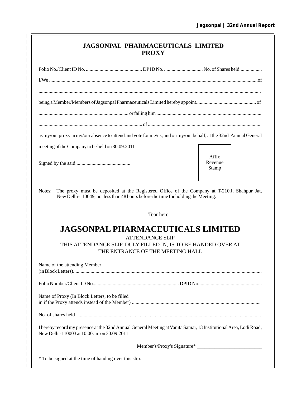| <b>JAGSONPAL PHARMACEUTICALS LIMITED</b> |  |
|------------------------------------------|--|
| <b>PROXY</b>                             |  |

 $\mathbf{I}$ 

 $\begin{array}{c} 1 \\ 1 \\ 1 \end{array}$ 

 $\mathbf I$  $\mathbf{I}$  $\frac{1}{1}$  $\mathbf I$  $\mathbf{I}$  $\frac{1}{1}$  $\overline{1}$  $\mathbf{I}$  $\mathbf I$  $\mathbf I$  $\mathbf{I}$ 

 $\begin{array}{c} 1 \\ 1 \\ 1 \end{array}$ 

 $\mathbf I$  $\frac{1}{1}$ 

 $\begin{array}{c} 1 \\ 1 \\ 1 \\ 1 \end{array}$ 

 $\mathbf{I}$  $\frac{1}{1}$  $\mathbf I$  $\mathbf{I}$  $\frac{1}{1}$  $\overline{1}$  $\mathbf I$  $\mathbf I$  $\mathbf I$  $\mathbf I$  $\frac{1}{1}$  $\mathbf{I}$  $\mathbf{I}$  $\frac{1}{1}$ 

 $\frac{1}{1}$ 

 $\frac{1}{1}$  $\mathbf{I}$  $\frac{1}{1}$  $\mathbf I$  $\overline{1}$  $\frac{1}{1}$ 

| as my/our proxy in my/our absence to attend and vote for me/us, and on my/our behalf, at the 32nd Annual General                                                |                                                                                             |
|-----------------------------------------------------------------------------------------------------------------------------------------------------------------|---------------------------------------------------------------------------------------------|
| meeting of the Company to be held on 30.09.2011                                                                                                                 |                                                                                             |
|                                                                                                                                                                 | Affix<br>Revenue<br>Stamp                                                                   |
| Notes:<br>New Delhi-110049, not less than 48 hours before the time for holding the Meeting.                                                                     | The proxy must be deposited at the Registered Office of the Company at T-210J, Shahpur Jat, |
|                                                                                                                                                                 |                                                                                             |
| <b>JAGSONPAL PHARMACEUTICALS LIMITED</b><br><b>ATTENDANCE SLIP</b>                                                                                              |                                                                                             |
|                                                                                                                                                                 |                                                                                             |
| THIS ATTENDANCE SLIP, DULY FILLED IN, IS TO BE HANDED OVER AT                                                                                                   |                                                                                             |
| THE ENTRANCE OF THE MEETING HALL                                                                                                                                |                                                                                             |
| Name of the attending Member                                                                                                                                    |                                                                                             |
|                                                                                                                                                                 |                                                                                             |
| Name of Proxy (In Block Letters, to be filled                                                                                                                   |                                                                                             |
|                                                                                                                                                                 |                                                                                             |
| I hereby record my presence at the 32nd Annual General Meeting at Vanita Samaj, 13 Institutional Area, Lodi Road,<br>New Delhi-110003 at 10.00 am on 30.09.2011 |                                                                                             |
|                                                                                                                                                                 | Member's/Proxy's Signature*                                                                 |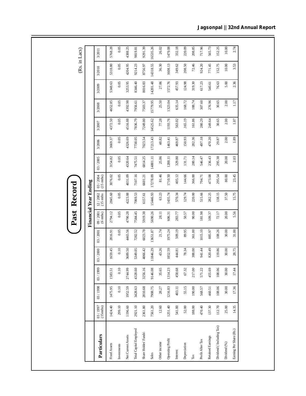|                          |                         |         |           |           |          | ast<br>≏                     | <b>Kecord</b>           |                          |          |          |          |          |          |          | (Rs. in Lacs) |
|--------------------------|-------------------------|---------|-----------|-----------|----------|------------------------------|-------------------------|--------------------------|----------|----------|----------|----------|----------|----------|---------------|
|                          |                         |         |           |           |          | <b>Financial Year Ending</b> |                         |                          |          |          |          |          |          |          |               |
| Particulars              | $03 / 1997$<br>(15mths) | 03/1998 | 03 / 1999 | 03 / 2000 | 03/2001  | $09/2001$ (6 mths)           | $12 / 2002$<br>(15 mths | $03 / 2004$<br>(15 mths) | 03/2005  | 3/2006   | 3/2007   | 3/2008   | 3/2009   | 3/2010   | 3/2011        |
| Fixed Assets             | 1424.40                 | 1475.95 | 1583.51   | 1659.45   | 2816.91  | 2794.12                      | 2845.60                 | 3076.02                  | 3154.82  | 3669.37  | 4372.50  | 4652.85  | 5348.63  | 5318.80  | 5768.28       |
| Investments              | 299.10                  | 0.10    | 0.10      | 0.10      | 0.05     | 0.05                         | 0.05                    | 0.05                     | 0.05     | 0.05     | 0.05     | 0.05     | $0.05\,$ | 0.05     | 0.05          |
| Net Current Assets       | 1196.60                 | 1952.59 | 2744.99   | 3689.50   | 4465.56  | 4790.28                      | 4223.88                 | 4031.09                  | 4320.64  | 4326.69  | 4516.88  | 4392.98  | 3253.95  | 4204.95  | 4388.25       |
| Total Capital Employed   | 2921.10                 | 3428.63 | 4328.60   | 5349.05   | 7282.52  | 7584.45                      | 7069.53                 | 7107.16                  | 7475.51  | 7738.05  | 7836.79  | 7956.61  | 8346.40  | 9214.23  | 9819.81       |
| Share Holdes' Funds      | 2361.80                 | 2810.68 | 3256.16   | 4066.42   | 6023.78  | 5919.38                      | 6157.61                 | 6601.21                  | 6814.25  | 7023.54  | 7249.80  | 7503.37  | 8016.83  | 8756.97  | 9291.39       |
| Sales                    | 7561.20                 | 7908.75 | 9146.08   | 1846.29   | 13651.87 | 5690.26                      | 15446.93                | 17278.09                 | 14801.11 | 17213.43 | 14525.62 | 15779.95 | 14201.48 | 14318.55 | 16535.26      |
| Other income             | 12.60                   | 28.27   | 35.65     | 43.26     | 21.74    | 28.11                        | 63.23                   | 81.46                    | 25.86    | 48.82    | 77.28    | 25.50    | 27.06    | 36.30    | 26.02         |
| <b>Operating Profit</b>  | 1251.40                 | 1216.83 | 1314.23   | 1852.59   | 1975.24  | 606.31                       | 1435.74                 | 1710.50                  | 1288.11  | 1463.41  | 1193.76  | 1323.04  | 1572.76  | 1608.13  | 1479.08       |
| Interest                 | 541.00                  | 403.11  | 458.68    | 444.81    | 509.19   | 283.77                       | 570.34                  | 405.12                   | 329.80   | 469.87   | 563.02   | 635.14   | 457.93   | 349.62   | 332.18        |
| Depreciation             | 52.00                   | 55.15   | 67.32     | 78.34     | 89.95    | $50.57$                      | 129.74                  | 144.66                   | 131.71   | 150.93   | .165.19  | 168.72   | 124.98   | 208.50   | 220.09        |
| $\operatorname{Tax}$     | 188.00                  | 190.00  | 217.00    | 388.00    | 361.00   | 90.00                        | 220.00                  | 366.00                   | 280.14   | 282.36   | 161.86   | 188.74   | 319.30   | 72.46    | 208.85        |
| Profit After Tax         | 470.40                  | 568.57  | 571.22    | 941.44    | 1015.10  | 181.98                       | 515.66                  | 794.71                   | 546.47   | 497.18   | 280.29   | 307.60   | 617.23   | 924.20   | 717.96        |
| Retained Earnings        | 137.30                  | 460.51  | 455.69    | 820.49    | 885.97   | 109.37                       | 282.25                  | 473.08                   | 236.43   | 470.20   | 249.64   | 276.96   | 540.61   | 771.45   | 565.73        |
| Dividend (Including Tax) | 112.70                  | 108.06  | 108.06    | 119.86    | 108.26   | 72.17                        | 138.15                  | 295.54                   | 295.38   | 29.87    | 30.65    | 30.65    | 76.63    | 152.75   | 152.25        |
| Dividend (%)             | 25.00                   | 30.00   | 30.00     | 30.00     | 30.00    | $20.00\,$                    | 37.50                   | $80.00$                  | $20.00$  | 2.00     | 2.00     | 2.00     | 5.00     | 10.00    | 10.00         |
| Earning Per Share (Rs.)  | 14.35                   | 17.36   | 17.44     | 28.75     | 31.00    | 5.56                         | 15.75                   | 23.45                    | 2.03     | $1.89\,$ | 1.07     | 1.17     | 2.36     | 3.53     | 2.74          |

Ē